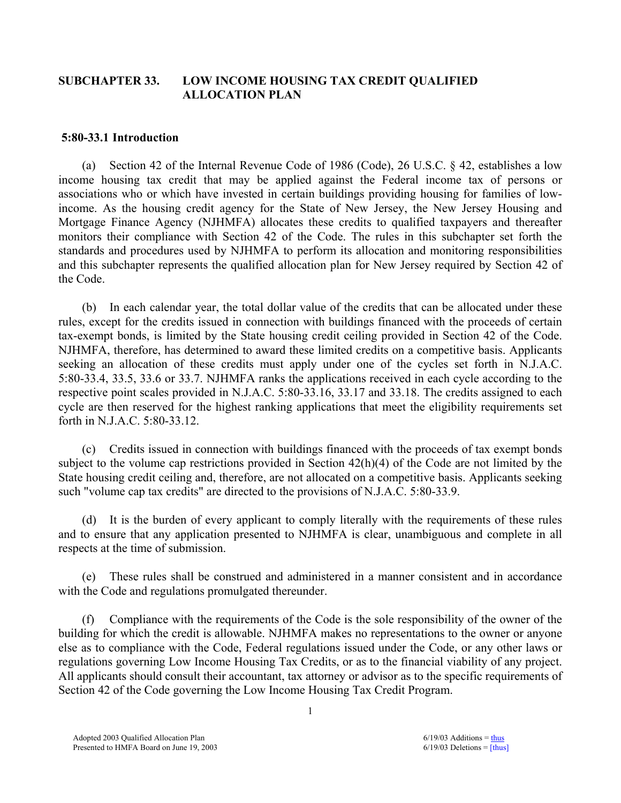## **SUBCHAPTER 33. LOW INCOME HOUSING TAX CREDIT QUALIFIED ALLOCATION PLAN**

#### **5:80-33.1 Introduction**

 (a) Section 42 of the Internal Revenue Code of 1986 (Code), 26 U.S.C. § 42, establishes a low income housing tax credit that may be applied against the Federal income tax of persons or associations who or which have invested in certain buildings providing housing for families of lowincome. As the housing credit agency for the State of New Jersey, the New Jersey Housing and Mortgage Finance Agency (NJHMFA) allocates these credits to qualified taxpayers and thereafter monitors their compliance with Section 42 of the Code. The rules in this subchapter set forth the standards and procedures used by NJHMFA to perform its allocation and monitoring responsibilities and this subchapter represents the qualified allocation plan for New Jersey required by Section 42 of the Code.

 (b) In each calendar year, the total dollar value of the credits that can be allocated under these rules, except for the credits issued in connection with buildings financed with the proceeds of certain tax-exempt bonds, is limited by the State housing credit ceiling provided in Section 42 of the Code. NJHMFA, therefore, has determined to award these limited credits on a competitive basis. Applicants seeking an allocation of these credits must apply under one of the cycles set forth in N.J.A.C. 5:80-33.4, 33.5, 33.6 or 33.7. NJHMFA ranks the applications received in each cycle according to the respective point scales provided in N.J.A.C. 5:80-33.16, 33.17 and 33.18. The credits assigned to each cycle are then reserved for the highest ranking applications that meet the eligibility requirements set forth in N.J.A.C. 5:80-33.12.

 (c) Credits issued in connection with buildings financed with the proceeds of tax exempt bonds subject to the volume cap restrictions provided in Section 42(h)(4) of the Code are not limited by the State housing credit ceiling and, therefore, are not allocated on a competitive basis. Applicants seeking such "volume cap tax credits" are directed to the provisions of N.J.A.C. 5:80-33.9.

 (d) It is the burden of every applicant to comply literally with the requirements of these rules and to ensure that any application presented to NJHMFA is clear, unambiguous and complete in all respects at the time of submission.

 (e) These rules shall be construed and administered in a manner consistent and in accordance with the Code and regulations promulgated thereunder.

 (f) Compliance with the requirements of the Code is the sole responsibility of the owner of the building for which the credit is allowable. NJHMFA makes no representations to the owner or anyone else as to compliance with the Code, Federal regulations issued under the Code, or any other laws or regulations governing Low Income Housing Tax Credits, or as to the financial viability of any project. All applicants should consult their accountant, tax attorney or advisor as to the specific requirements of Section 42 of the Code governing the Low Income Housing Tax Credit Program.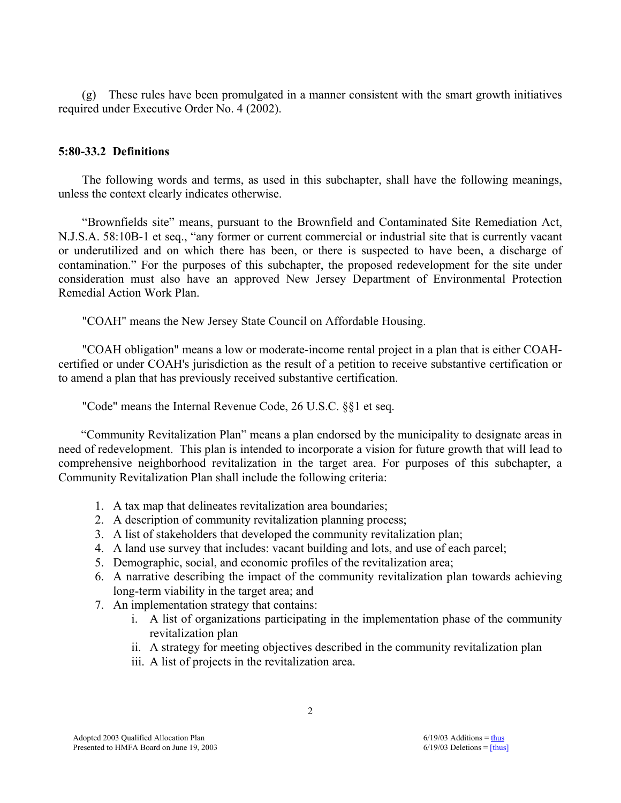(g) These rules have been promulgated in a manner consistent with the smart growth initiatives required under Executive Order No. 4 (2002).

## **5:80-33.2 Definitions**

 The following words and terms, as used in this subchapter, shall have the following meanings, unless the context clearly indicates otherwise.

"Brownfields site" means, pursuant to the Brownfield and Contaminated Site Remediation Act, N.J.S.A. 58:10B-1 et seq., "any former or current commercial or industrial site that is currently vacant or underutilized and on which there has been, or there is suspected to have been, a discharge of contamination." For the purposes of this subchapter, the proposed redevelopment for the site under consideration must also have an approved New Jersey Department of Environmental Protection Remedial Action Work Plan.

"COAH" means the New Jersey State Council on Affordable Housing.

 "COAH obligation" means a low or moderate-income rental project in a plan that is either COAHcertified or under COAH's jurisdiction as the result of a petition to receive substantive certification or to amend a plan that has previously received substantive certification.

"Code" means the Internal Revenue Code, 26 U.S.C. §§1 et seq.

 "Community Revitalization Plan" means a plan endorsed by the municipality to designate areas in need of redevelopment. This plan is intended to incorporate a vision for future growth that will lead to comprehensive neighborhood revitalization in the target area. For purposes of this subchapter, a Community Revitalization Plan shall include the following criteria:

- 1. A tax map that delineates revitalization area boundaries;
- 2. A description of community revitalization planning process;
- 3. A list of stakeholders that developed the community revitalization plan;
- 4. A land use survey that includes: vacant building and lots, and use of each parcel;
- 5. Demographic, social, and economic profiles of the revitalization area;
- 6. A narrative describing the impact of the community revitalization plan towards achieving long-term viability in the target area; and
- 7. An implementation strategy that contains:
	- i. A list of organizations participating in the implementation phase of the community revitalization plan
	- ii. A strategy for meeting objectives described in the community revitalization plan
	- iii. A list of projects in the revitalization area.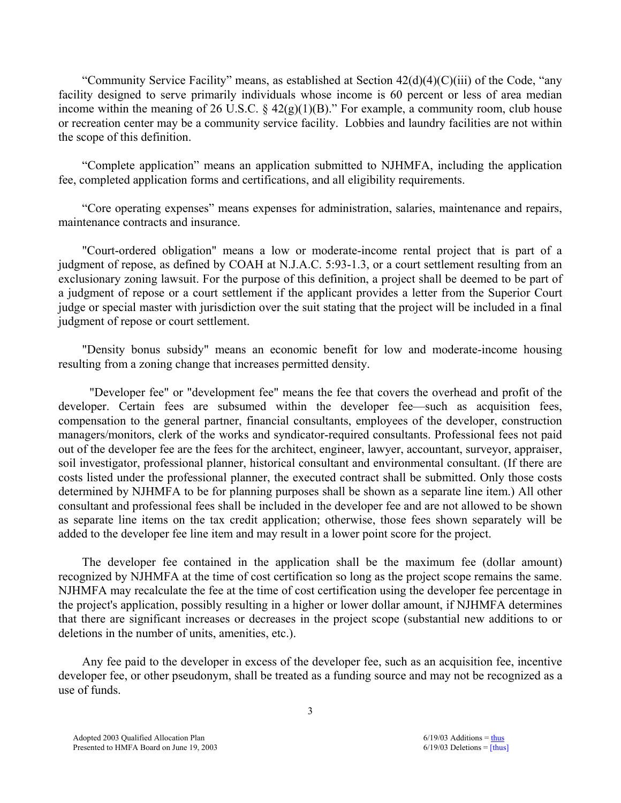"Community Service Facility" means, as established at Section 42(d)(4)(C)(iii) of the Code, "any facility designed to serve primarily individuals whose income is 60 percent or less of area median income within the meaning of 26 U.S.C.  $\S$  42(g)(1)(B)." For example, a community room, club house or recreation center may be a community service facility. Lobbies and laundry facilities are not within the scope of this definition.

 "Complete application" means an application submitted to NJHMFA, including the application fee, completed application forms and certifications, and all eligibility requirements.

 "Core operating expenses" means expenses for administration, salaries, maintenance and repairs, maintenance contracts and insurance.

 "Court-ordered obligation" means a low or moderate-income rental project that is part of a judgment of repose, as defined by COAH at N.J.A.C. 5:93-1.3, or a court settlement resulting from an exclusionary zoning lawsuit. For the purpose of this definition, a project shall be deemed to be part of a judgment of repose or a court settlement if the applicant provides a letter from the Superior Court judge or special master with jurisdiction over the suit stating that the project will be included in a final judgment of repose or court settlement.

 "Density bonus subsidy" means an economic benefit for low and moderate-income housing resulting from a zoning change that increases permitted density.

 "Developer fee" or "development fee" means the fee that covers the overhead and profit of the developer. Certain fees are subsumed within the developer fee—such as acquisition fees, compensation to the general partner, financial consultants, employees of the developer, construction managers/monitors, clerk of the works and syndicator-required consultants. Professional fees not paid out of the developer fee are the fees for the architect, engineer, lawyer, accountant, surveyor, appraiser, soil investigator, professional planner, historical consultant and environmental consultant. (If there are costs listed under the professional planner, the executed contract shall be submitted. Only those costs determined by NJHMFA to be for planning purposes shall be shown as a separate line item.) All other consultant and professional fees shall be included in the developer fee and are not allowed to be shown as separate line items on the tax credit application; otherwise, those fees shown separately will be added to the developer fee line item and may result in a lower point score for the project.

 The developer fee contained in the application shall be the maximum fee (dollar amount) recognized by NJHMFA at the time of cost certification so long as the project scope remains the same. NJHMFA may recalculate the fee at the time of cost certification using the developer fee percentage in the project's application, possibly resulting in a higher or lower dollar amount, if NJHMFA determines that there are significant increases or decreases in the project scope (substantial new additions to or deletions in the number of units, amenities, etc.).

 Any fee paid to the developer in excess of the developer fee, such as an acquisition fee, incentive developer fee, or other pseudonym, shall be treated as a funding source and may not be recognized as a use of funds.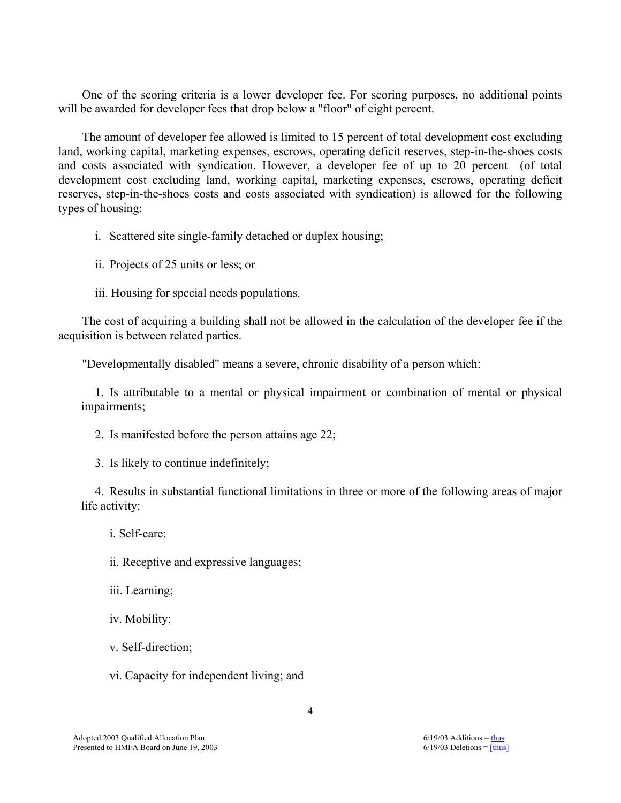One of the scoring criteria is a lower developer fee. For scoring purposes, no additional points will be awarded for developer fees that drop below a "floor" of eight percent.

 The amount of developer fee allowed is limited to 15 percent of total development cost excluding land, working capital, marketing expenses, escrows, operating deficit reserves, step-in-the-shoes costs and costs associated with syndication. However, a developer fee of up to 20 percent (of total development cost excluding land, working capital, marketing expenses, escrows, operating deficit reserves, step-in-the-shoes costs and costs associated with syndication) is allowed for the following types of housing:

i. Scattered site single-family detached or duplex housing;

ii. Projects of 25 units or less; or

iii. Housing for special needs populations.

 The cost of acquiring a building shall not be allowed in the calculation of the developer fee if the acquisition is between related parties.

"Developmentally disabled" means a severe, chronic disability of a person which:

 1. Is attributable to a mental or physical impairment or combination of mental or physical impairments;

2. Is manifested before the person attains age 22;

3. Is likely to continue indefinitely;

 4. Results in substantial functional limitations in three or more of the following areas of major life activity:

i. Self-care;

ii. Receptive and expressive languages;

iii. Learning;

iv. Mobility;

v. Self-direction;

vi. Capacity for independent living; and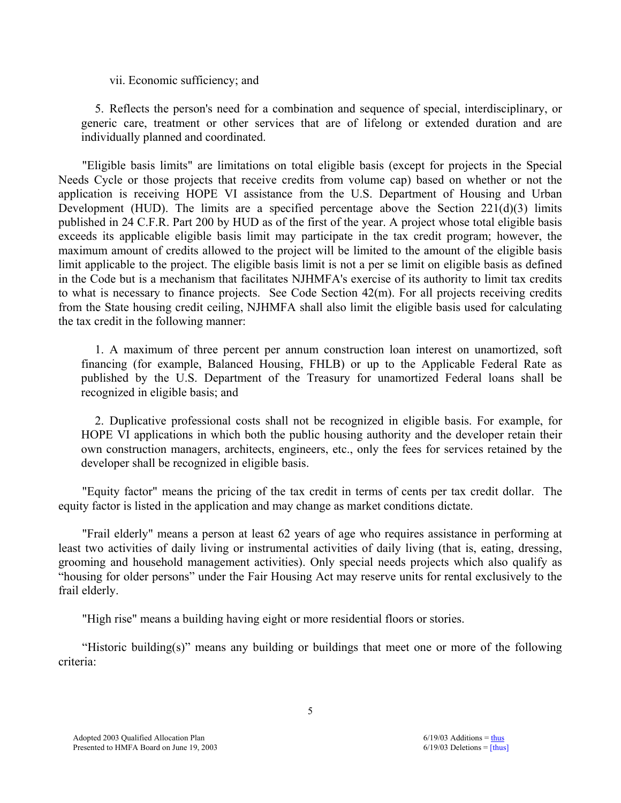vii. Economic sufficiency; and

 5. Reflects the person's need for a combination and sequence of special, interdisciplinary, or generic care, treatment or other services that are of lifelong or extended duration and are individually planned and coordinated.

 "Eligible basis limits" are limitations on total eligible basis (except for projects in the Special Needs Cycle or those projects that receive credits from volume cap) based on whether or not the application is receiving HOPE VI assistance from the U.S. Department of Housing and Urban Development (HUD). The limits are a specified percentage above the Section  $221(d)(3)$  limits published in 24 C.F.R. Part 200 by HUD as of the first of the year. A project whose total eligible basis exceeds its applicable eligible basis limit may participate in the tax credit program; however, the maximum amount of credits allowed to the project will be limited to the amount of the eligible basis limit applicable to the project. The eligible basis limit is not a per se limit on eligible basis as defined in the Code but is a mechanism that facilitates NJHMFA's exercise of its authority to limit tax credits to what is necessary to finance projects. See Code Section 42(m). For all projects receiving credits from the State housing credit ceiling, NJHMFA shall also limit the eligible basis used for calculating the tax credit in the following manner:

 1. A maximum of three percent per annum construction loan interest on unamortized, soft financing (for example, Balanced Housing, FHLB) or up to the Applicable Federal Rate as published by the U.S. Department of the Treasury for unamortized Federal loans shall be recognized in eligible basis; and

 2. Duplicative professional costs shall not be recognized in eligible basis. For example, for HOPE VI applications in which both the public housing authority and the developer retain their own construction managers, architects, engineers, etc., only the fees for services retained by the developer shall be recognized in eligible basis.

 "Equity factor" means the pricing of the tax credit in terms of cents per tax credit dollar. The equity factor is listed in the application and may change as market conditions dictate.

 "Frail elderly" means a person at least 62 years of age who requires assistance in performing at least two activities of daily living or instrumental activities of daily living (that is, eating, dressing, grooming and household management activities). Only special needs projects which also qualify as "housing for older persons" under the Fair Housing Act may reserve units for rental exclusively to the frail elderly.

"High rise" means a building having eight or more residential floors or stories.

 "Historic building(s)" means any building or buildings that meet one or more of the following criteria: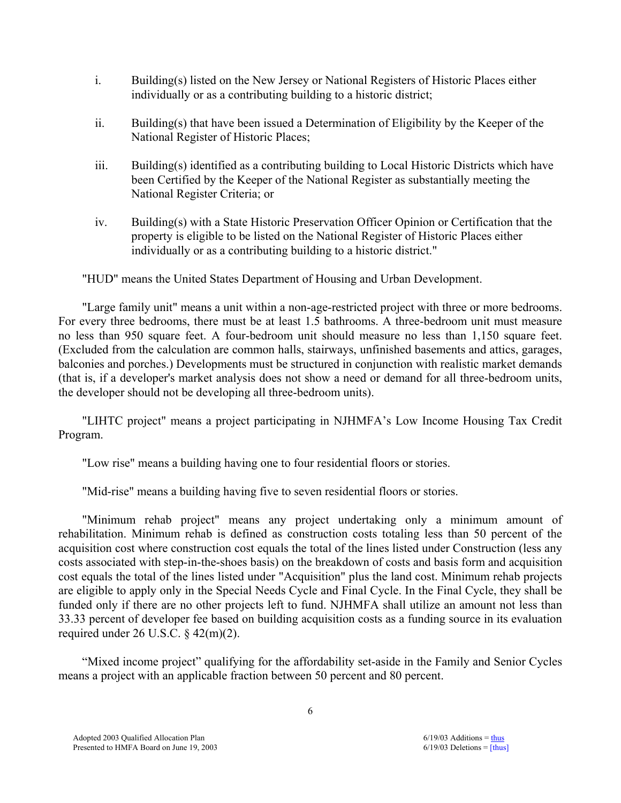- i. Building(s) listed on the New Jersey or National Registers of Historic Places either individually or as a contributing building to a historic district;
- ii. Building(s) that have been issued a Determination of Eligibility by the Keeper of the National Register of Historic Places;
- iii. Building(s) identified as a contributing building to Local Historic Districts which have been Certified by the Keeper of the National Register as substantially meeting the National Register Criteria; or
- iv. Building(s) with a State Historic Preservation Officer Opinion or Certification that the property is eligible to be listed on the National Register of Historic Places either individually or as a contributing building to a historic district."

"HUD" means the United States Department of Housing and Urban Development.

 "Large family unit" means a unit within a non-age-restricted project with three or more bedrooms. For every three bedrooms, there must be at least 1.5 bathrooms. A three-bedroom unit must measure no less than 950 square feet. A four-bedroom unit should measure no less than 1,150 square feet. (Excluded from the calculation are common halls, stairways, unfinished basements and attics, garages, balconies and porches.) Developments must be structured in conjunction with realistic market demands (that is, if a developer's market analysis does not show a need or demand for all three-bedroom units, the developer should not be developing all three-bedroom units).

 "LIHTC project" means a project participating in NJHMFA's Low Income Housing Tax Credit Program.

"Low rise" means a building having one to four residential floors or stories.

"Mid-rise" means a building having five to seven residential floors or stories.

 "Minimum rehab project" means any project undertaking only a minimum amount of rehabilitation. Minimum rehab is defined as construction costs totaling less than 50 percent of the acquisition cost where construction cost equals the total of the lines listed under Construction (less any costs associated with step-in-the-shoes basis) on the breakdown of costs and basis form and acquisition cost equals the total of the lines listed under "Acquisition" plus the land cost. Minimum rehab projects are eligible to apply only in the Special Needs Cycle and Final Cycle. In the Final Cycle, they shall be funded only if there are no other projects left to fund. NJHMFA shall utilize an amount not less than 33.33 percent of developer fee based on building acquisition costs as a funding source in its evaluation required under 26 U.S.C.  $\S$  42(m)(2).

 "Mixed income project" qualifying for the affordability set-aside in the Family and Senior Cycles means a project with an applicable fraction between 50 percent and 80 percent.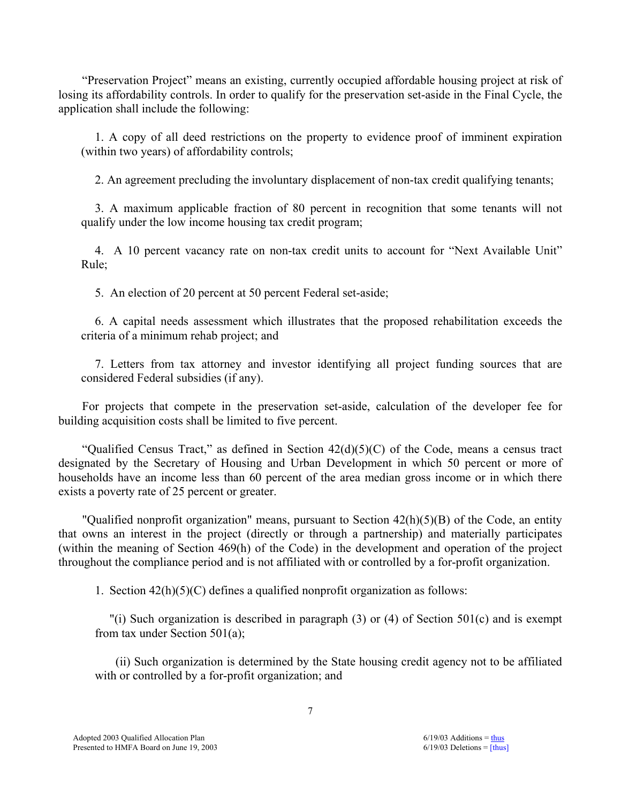"Preservation Project" means an existing, currently occupied affordable housing project at risk of losing its affordability controls. In order to qualify for the preservation set-aside in the Final Cycle, the application shall include the following:

 1. A copy of all deed restrictions on the property to evidence proof of imminent expiration (within two years) of affordability controls;

2. An agreement precluding the involuntary displacement of non-tax credit qualifying tenants;

 3. A maximum applicable fraction of 80 percent in recognition that some tenants will not qualify under the low income housing tax credit program;

 4. A 10 percent vacancy rate on non-tax credit units to account for "Next Available Unit" Rule;

5. An election of 20 percent at 50 percent Federal set-aside;

 6. A capital needs assessment which illustrates that the proposed rehabilitation exceeds the criteria of a minimum rehab project; and

 7. Letters from tax attorney and investor identifying all project funding sources that are considered Federal subsidies (if any).

 For projects that compete in the preservation set-aside, calculation of the developer fee for building acquisition costs shall be limited to five percent.

"Qualified Census Tract," as defined in Section  $42(d)(5)(C)$  of the Code, means a census tract designated by the Secretary of Housing and Urban Development in which 50 percent or more of households have an income less than 60 percent of the area median gross income or in which there exists a poverty rate of 25 percent or greater.

 "Qualified nonprofit organization" means, pursuant to Section 42(h)(5)(B) of the Code, an entity that owns an interest in the project (directly or through a partnership) and materially participates (within the meaning of Section 469(h) of the Code) in the development and operation of the project throughout the compliance period and is not affiliated with or controlled by a for-profit organization.

1. Section  $42(h)(5)(C)$  defines a qualified nonprofit organization as follows:

"(i) Such organization is described in paragraph (3) or (4) of Section 501(c) and is exempt from tax under Section 501(a);

 (ii) Such organization is determined by the State housing credit agency not to be affiliated with or controlled by a for-profit organization; and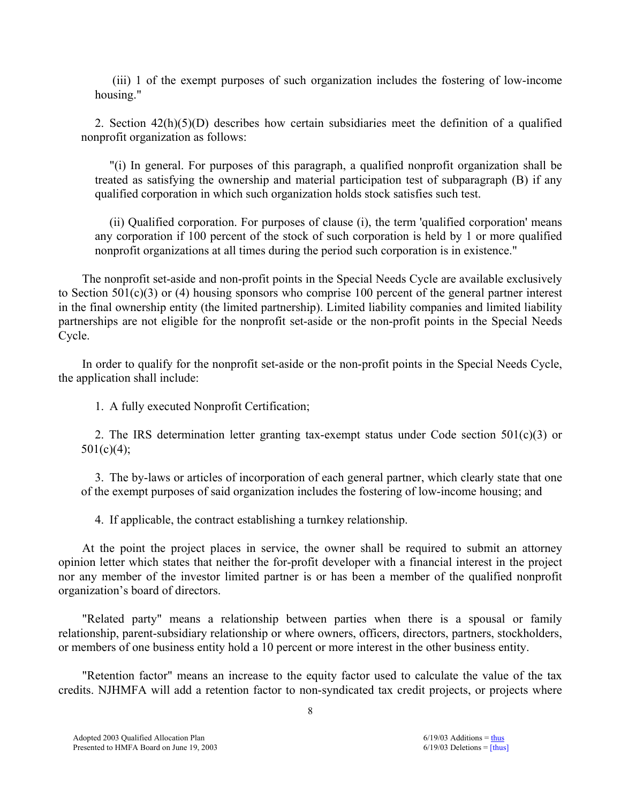(iii) 1 of the exempt purposes of such organization includes the fostering of low-income housing."

2. Section  $42(h)(5)(D)$  describes how certain subsidiaries meet the definition of a qualified nonprofit organization as follows:

"(i) In general. For purposes of this paragraph, a qualified nonprofit organization shall be treated as satisfying the ownership and material participation test of subparagraph (B) if any qualified corporation in which such organization holds stock satisfies such test.

(ii) Qualified corporation. For purposes of clause (i), the term 'qualified corporation' means any corporation if 100 percent of the stock of such corporation is held by 1 or more qualified nonprofit organizations at all times during the period such corporation is in existence."

 The nonprofit set-aside and non-profit points in the Special Needs Cycle are available exclusively to Section 501(c)(3) or (4) housing sponsors who comprise 100 percent of the general partner interest in the final ownership entity (the limited partnership). Limited liability companies and limited liability partnerships are not eligible for the nonprofit set-aside or the non-profit points in the Special Needs Cycle.

 In order to qualify for the nonprofit set-aside or the non-profit points in the Special Needs Cycle, the application shall include:

1. A fully executed Nonprofit Certification;

 2. The IRS determination letter granting tax-exempt status under Code section 501(c)(3) or  $501(c)(4);$ 

 3. The by-laws or articles of incorporation of each general partner, which clearly state that one of the exempt purposes of said organization includes the fostering of low-income housing; and

4. If applicable, the contract establishing a turnkey relationship.

 At the point the project places in service, the owner shall be required to submit an attorney opinion letter which states that neither the for-profit developer with a financial interest in the project nor any member of the investor limited partner is or has been a member of the qualified nonprofit organization's board of directors.

 "Related party" means a relationship between parties when there is a spousal or family relationship, parent-subsidiary relationship or where owners, officers, directors, partners, stockholders, or members of one business entity hold a 10 percent or more interest in the other business entity.

 "Retention factor" means an increase to the equity factor used to calculate the value of the tax credits. NJHMFA will add a retention factor to non-syndicated tax credit projects, or projects where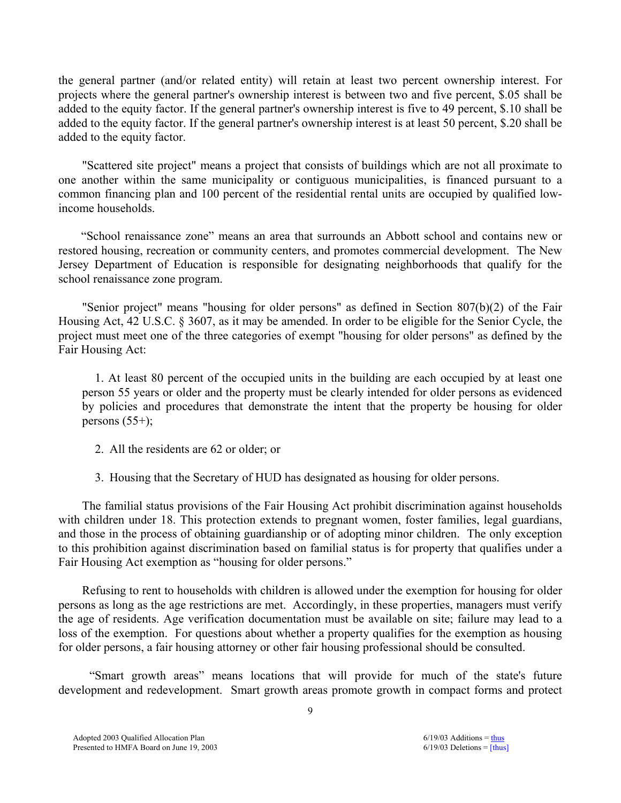the general partner (and/or related entity) will retain at least two percent ownership interest. For projects where the general partner's ownership interest is between two and five percent, \$.05 shall be added to the equity factor. If the general partner's ownership interest is five to 49 percent, \$.10 shall be added to the equity factor. If the general partner's ownership interest is at least 50 percent, \$.20 shall be added to the equity factor.

 "Scattered site project" means a project that consists of buildings which are not all proximate to one another within the same municipality or contiguous municipalities, is financed pursuant to a common financing plan and 100 percent of the residential rental units are occupied by qualified lowincome households.

"School renaissance zone" means an area that surrounds an Abbott school and contains new or restored housing, recreation or community centers, and promotes commercial development. The New Jersey Department of Education is responsible for designating neighborhoods that qualify for the school renaissance zone program.

 "Senior project" means "housing for older persons" as defined in Section 807(b)(2) of the Fair Housing Act, 42 U.S.C. § 3607, as it may be amended. In order to be eligible for the Senior Cycle, the project must meet one of the three categories of exempt "housing for older persons" as defined by the Fair Housing Act:

 1. At least 80 percent of the occupied units in the building are each occupied by at least one person 55 years or older and the property must be clearly intended for older persons as evidenced by policies and procedures that demonstrate the intent that the property be housing for older persons  $(55+)$ ;

- 2. All the residents are 62 or older; or
- 3. Housing that the Secretary of HUD has designated as housing for older persons.

 The familial status provisions of the Fair Housing Act prohibit discrimination against households with children under 18. This protection extends to pregnant women, foster families, legal guardians, and those in the process of obtaining guardianship or of adopting minor children. The only exception to this prohibition against discrimination based on familial status is for property that qualifies under a Fair Housing Act exemption as "housing for older persons."

 Refusing to rent to households with children is allowed under the exemption for housing for older persons as long as the age restrictions are met. Accordingly, in these properties, managers must verify the age of residents. Age verification documentation must be available on site; failure may lead to a loss of the exemption. For questions about whether a property qualifies for the exemption as housing for older persons, a fair housing attorney or other fair housing professional should be consulted.

 "Smart growth areas" means locations that will provide for much of the state's future development and redevelopment. Smart growth areas promote growth in compact forms and protect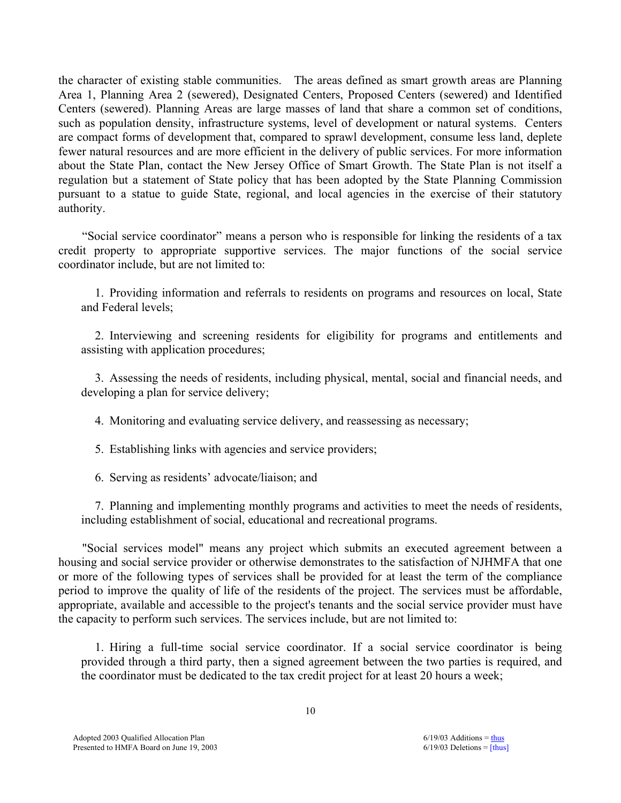the character of existing stable communities. The areas defined as smart growth areas are Planning Area 1, Planning Area 2 (sewered), Designated Centers, Proposed Centers (sewered) and Identified Centers (sewered). Planning Areas are large masses of land that share a common set of conditions, such as population density, infrastructure systems, level of development or natural systems. Centers are compact forms of development that, compared to sprawl development, consume less land, deplete fewer natural resources and are more efficient in the delivery of public services. For more information about the State Plan, contact the New Jersey Office of Smart Growth. The State Plan is not itself a regulation but a statement of State policy that has been adopted by the State Planning Commission pursuant to a statue to guide State, regional, and local agencies in the exercise of their statutory authority.

 "Social service coordinator" means a person who is responsible for linking the residents of a tax credit property to appropriate supportive services. The major functions of the social service coordinator include, but are not limited to:

 1. Providing information and referrals to residents on programs and resources on local, State and Federal levels;

 2. Interviewing and screening residents for eligibility for programs and entitlements and assisting with application procedures;

 3. Assessing the needs of residents, including physical, mental, social and financial needs, and developing a plan for service delivery;

4. Monitoring and evaluating service delivery, and reassessing as necessary;

5. Establishing links with agencies and service providers;

6. Serving as residents' advocate/liaison; and

 7. Planning and implementing monthly programs and activities to meet the needs of residents, including establishment of social, educational and recreational programs.

 "Social services model" means any project which submits an executed agreement between a housing and social service provider or otherwise demonstrates to the satisfaction of NJHMFA that one or more of the following types of services shall be provided for at least the term of the compliance period to improve the quality of life of the residents of the project. The services must be affordable, appropriate, available and accessible to the project's tenants and the social service provider must have the capacity to perform such services. The services include, but are not limited to:

1. Hiring a full-time social service coordinator. If a social service coordinator is being provided through a third party, then a signed agreement between the two parties is required, and the coordinator must be dedicated to the tax credit project for at least 20 hours a week;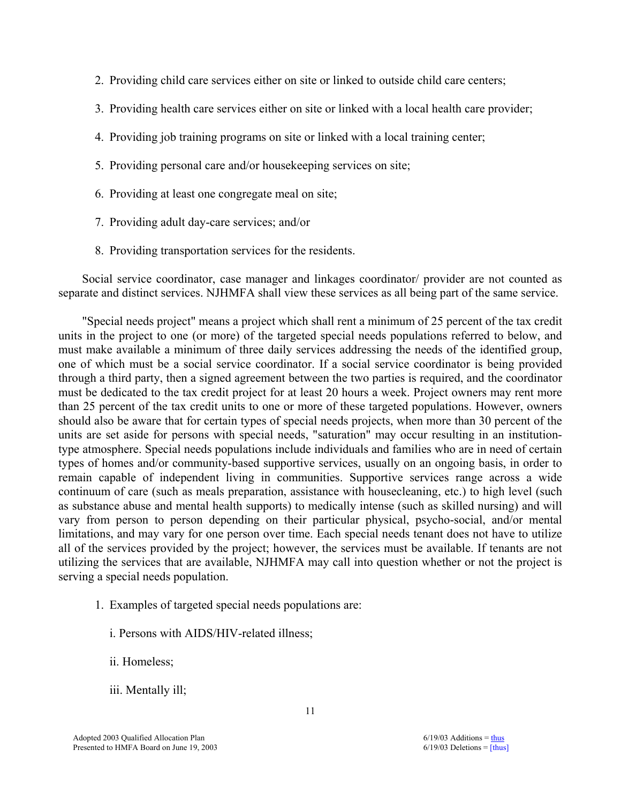- 2. Providing child care services either on site or linked to outside child care centers;
- 3. Providing health care services either on site or linked with a local health care provider;
- 4. Providing job training programs on site or linked with a local training center;
- 5. Providing personal care and/or housekeeping services on site;
- 6. Providing at least one congregate meal on site;
- 7. Providing adult day-care services; and/or
- 8. Providing transportation services for the residents.

 Social service coordinator, case manager and linkages coordinator/ provider are not counted as separate and distinct services. NJHMFA shall view these services as all being part of the same service.

 "Special needs project" means a project which shall rent a minimum of 25 percent of the tax credit units in the project to one (or more) of the targeted special needs populations referred to below, and must make available a minimum of three daily services addressing the needs of the identified group, one of which must be a social service coordinator. If a social service coordinator is being provided through a third party, then a signed agreement between the two parties is required, and the coordinator must be dedicated to the tax credit project for at least 20 hours a week. Project owners may rent more than 25 percent of the tax credit units to one or more of these targeted populations. However, owners should also be aware that for certain types of special needs projects, when more than 30 percent of the units are set aside for persons with special needs, "saturation" may occur resulting in an institutiontype atmosphere. Special needs populations include individuals and families who are in need of certain types of homes and/or community-based supportive services, usually on an ongoing basis, in order to remain capable of independent living in communities. Supportive services range across a wide continuum of care (such as meals preparation, assistance with housecleaning, etc.) to high level (such as substance abuse and mental health supports) to medically intense (such as skilled nursing) and will vary from person to person depending on their particular physical, psycho-social, and/or mental limitations, and may vary for one person over time. Each special needs tenant does not have to utilize all of the services provided by the project; however, the services must be available. If tenants are not utilizing the services that are available, NJHMFA may call into question whether or not the project is serving a special needs population.

- 1. Examples of targeted special needs populations are:
	- i. Persons with AIDS/HIV-related illness;
	- ii. Homeless;
	- iii. Mentally ill;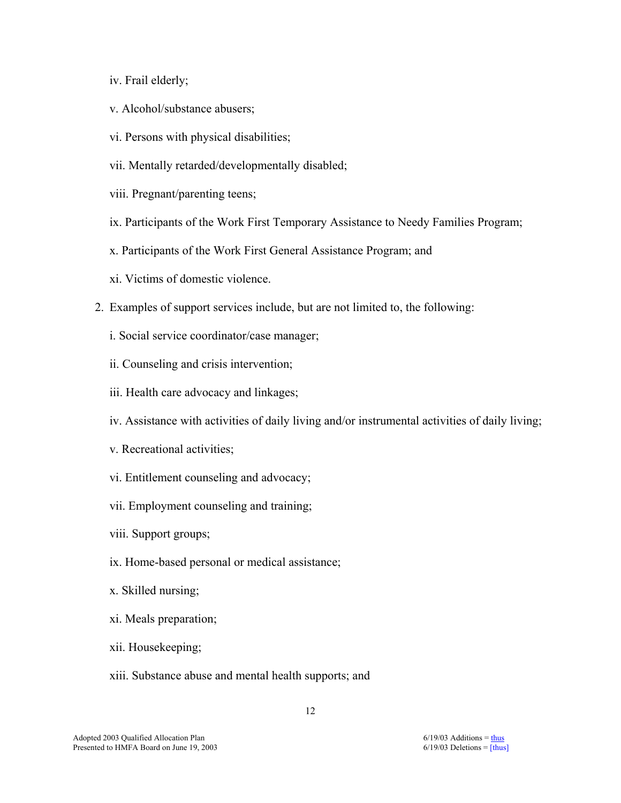- iv. Frail elderly;
- v. Alcohol/substance abusers;
- vi. Persons with physical disabilities;
- vii. Mentally retarded/developmentally disabled;
- viii. Pregnant/parenting teens;
- ix. Participants of the Work First Temporary Assistance to Needy Families Program;
- x. Participants of the Work First General Assistance Program; and
- xi. Victims of domestic violence.
- 2. Examples of support services include, but are not limited to, the following:
	- i. Social service coordinator/case manager;
	- ii. Counseling and crisis intervention;
	- iii. Health care advocacy and linkages;
	- iv. Assistance with activities of daily living and/or instrumental activities of daily living;
	- v. Recreational activities;
	- vi. Entitlement counseling and advocacy;
	- vii. Employment counseling and training;
	- viii. Support groups;
	- ix. Home-based personal or medical assistance;
	- x. Skilled nursing;
	- xi. Meals preparation;
	- xii. Housekeeping;
	- xiii. Substance abuse and mental health supports; and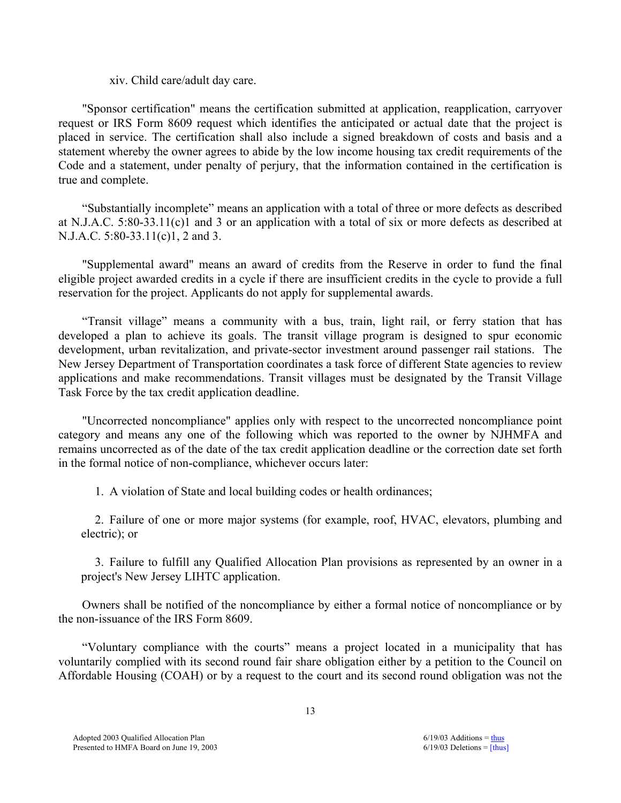xiv. Child care/adult day care.

 "Sponsor certification" means the certification submitted at application, reapplication, carryover request or IRS Form 8609 request which identifies the anticipated or actual date that the project is placed in service. The certification shall also include a signed breakdown of costs and basis and a statement whereby the owner agrees to abide by the low income housing tax credit requirements of the Code and a statement, under penalty of perjury, that the information contained in the certification is true and complete.

 "Substantially incomplete" means an application with a total of three or more defects as described at N.J.A.C. 5:80-33.11(c)1 and 3 or an application with a total of six or more defects as described at N.J.A.C. 5:80-33.11(c)1, 2 and 3.

 "Supplemental award" means an award of credits from the Reserve in order to fund the final eligible project awarded credits in a cycle if there are insufficient credits in the cycle to provide a full reservation for the project. Applicants do not apply for supplemental awards.

 "Transit village" means a community with a bus, train, light rail, or ferry station that has developed a plan to achieve its goals. The transit village program is designed to spur economic development, urban revitalization, and private-sector investment around passenger rail stations. The New Jersey Department of Transportation coordinates a task force of different State agencies to review applications and make recommendations. Transit villages must be designated by the Transit Village Task Force by the tax credit application deadline.

 "Uncorrected noncompliance" applies only with respect to the uncorrected noncompliance point category and means any one of the following which was reported to the owner by NJHMFA and remains uncorrected as of the date of the tax credit application deadline or the correction date set forth in the formal notice of non-compliance, whichever occurs later:

1. A violation of State and local building codes or health ordinances;

 2. Failure of one or more major systems (for example, roof, HVAC, elevators, plumbing and electric); or

 3. Failure to fulfill any Qualified Allocation Plan provisions as represented by an owner in a project's New Jersey LIHTC application.

 Owners shall be notified of the noncompliance by either a formal notice of noncompliance or by the non-issuance of the IRS Form 8609.

 "Voluntary compliance with the courts" means a project located in a municipality that has voluntarily complied with its second round fair share obligation either by a petition to the Council on Affordable Housing (COAH) or by a request to the court and its second round obligation was not the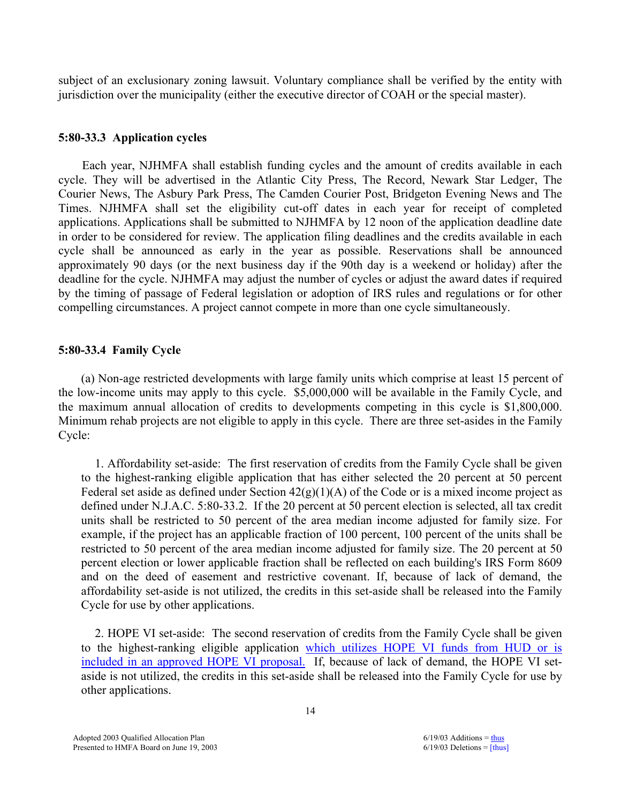subject of an exclusionary zoning lawsuit. Voluntary compliance shall be verified by the entity with jurisdiction over the municipality (either the executive director of COAH or the special master).

### **5:80-33.3 Application cycles**

 Each year, NJHMFA shall establish funding cycles and the amount of credits available in each cycle. They will be advertised in the Atlantic City Press, The Record, Newark Star Ledger, The Courier News, The Asbury Park Press, The Camden Courier Post, Bridgeton Evening News and The Times. NJHMFA shall set the eligibility cut-off dates in each year for receipt of completed applications. Applications shall be submitted to NJHMFA by 12 noon of the application deadline date in order to be considered for review. The application filing deadlines and the credits available in each cycle shall be announced as early in the year as possible. Reservations shall be announced approximately 90 days (or the next business day if the 90th day is a weekend or holiday) after the deadline for the cycle. NJHMFA may adjust the number of cycles or adjust the award dates if required by the timing of passage of Federal legislation or adoption of IRS rules and regulations or for other compelling circumstances. A project cannot compete in more than one cycle simultaneously.

## **5:80-33.4 Family Cycle**

 (a) Non-age restricted developments with large family units which comprise at least 15 percent of the low-income units may apply to this cycle. \$5,000,000 will be available in the Family Cycle, and the maximum annual allocation of credits to developments competing in this cycle is \$1,800,000. Minimum rehab projects are not eligible to apply in this cycle. There are three set-asides in the Family Cycle:

1. Affordability set-aside: The first reservation of credits from the Family Cycle shall be given to the highest-ranking eligible application that has either selected the 20 percent at 50 percent Federal set aside as defined under Section  $42(g)(1)(A)$  of the Code or is a mixed income project as defined under N.J.A.C. 5:80-33.2. If the 20 percent at 50 percent election is selected, all tax credit units shall be restricted to 50 percent of the area median income adjusted for family size. For example, if the project has an applicable fraction of 100 percent, 100 percent of the units shall be restricted to 50 percent of the area median income adjusted for family size. The 20 percent at 50 percent election or lower applicable fraction shall be reflected on each building's IRS Form 8609 and on the deed of easement and restrictive covenant. If, because of lack of demand, the affordability set-aside is not utilized, the credits in this set-aside shall be released into the Family Cycle for use by other applications.

2. HOPE VI set-aside: The second reservation of credits from the Family Cycle shall be given to the highest-ranking eligible application which utilizes HOPE VI funds from HUD or is included in an approved HOPE VI proposal. If, because of lack of demand, the HOPE VI setaside is not utilized, the credits in this set-aside shall be released into the Family Cycle for use by other applications.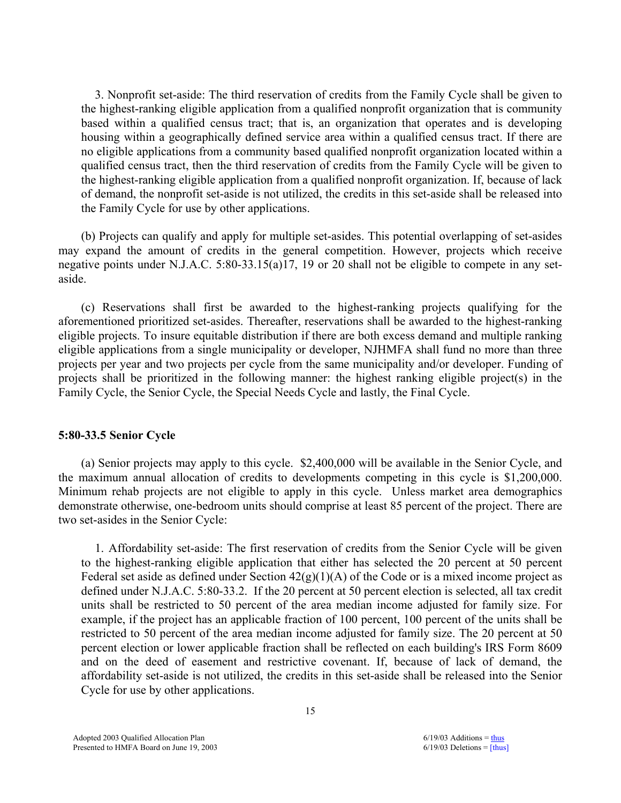3. Nonprofit set-aside: The third reservation of credits from the Family Cycle shall be given to the highest-ranking eligible application from a qualified nonprofit organization that is community based within a qualified census tract; that is, an organization that operates and is developing housing within a geographically defined service area within a qualified census tract. If there are no eligible applications from a community based qualified nonprofit organization located within a qualified census tract, then the third reservation of credits from the Family Cycle will be given to the highest-ranking eligible application from a qualified nonprofit organization. If, because of lack of demand, the nonprofit set-aside is not utilized, the credits in this set-aside shall be released into the Family Cycle for use by other applications.

 (b) Projects can qualify and apply for multiple set-asides. This potential overlapping of set-asides may expand the amount of credits in the general competition. However, projects which receive negative points under N.J.A.C. 5:80-33.15(a)17, 19 or 20 shall not be eligible to compete in any setaside.

 (c) Reservations shall first be awarded to the highest-ranking projects qualifying for the aforementioned prioritized set-asides. Thereafter, reservations shall be awarded to the highest-ranking eligible projects. To insure equitable distribution if there are both excess demand and multiple ranking eligible applications from a single municipality or developer, NJHMFA shall fund no more than three projects per year and two projects per cycle from the same municipality and/or developer. Funding of projects shall be prioritized in the following manner: the highest ranking eligible project(s) in the Family Cycle, the Senior Cycle, the Special Needs Cycle and lastly, the Final Cycle.

### **5:80-33.5 Senior Cycle**

 (a) Senior projects may apply to this cycle. \$2,400,000 will be available in the Senior Cycle, and the maximum annual allocation of credits to developments competing in this cycle is \$1,200,000. Minimum rehab projects are not eligible to apply in this cycle. Unless market area demographics demonstrate otherwise, one-bedroom units should comprise at least 85 percent of the project. There are two set-asides in the Senior Cycle:

1. Affordability set-aside: The first reservation of credits from the Senior Cycle will be given to the highest-ranking eligible application that either has selected the 20 percent at 50 percent Federal set aside as defined under Section  $42(g)(1)(A)$  of the Code or is a mixed income project as defined under N.J.A.C. 5:80-33.2. If the 20 percent at 50 percent election is selected, all tax credit units shall be restricted to 50 percent of the area median income adjusted for family size. For example, if the project has an applicable fraction of 100 percent, 100 percent of the units shall be restricted to 50 percent of the area median income adjusted for family size. The 20 percent at 50 percent election or lower applicable fraction shall be reflected on each building's IRS Form 8609 and on the deed of easement and restrictive covenant. If, because of lack of demand, the affordability set-aside is not utilized, the credits in this set-aside shall be released into the Senior Cycle for use by other applications.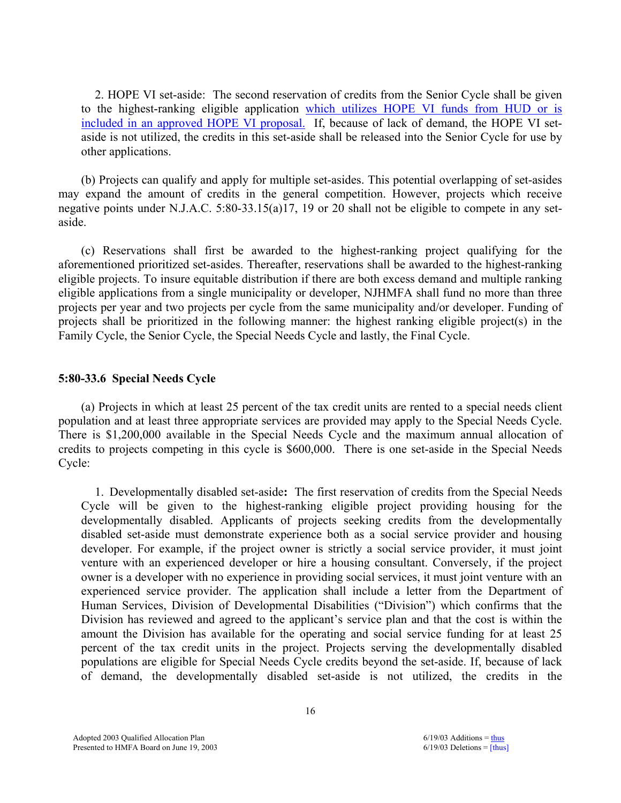2. HOPE VI set-aside: The second reservation of credits from the Senior Cycle shall be given to the highest-ranking eligible application which utilizes HOPE VI funds from HUD or is included in an approved HOPE VI proposal. If, because of lack of demand, the HOPE VI setaside is not utilized, the credits in this set-aside shall be released into the Senior Cycle for use by other applications.

 (b) Projects can qualify and apply for multiple set-asides. This potential overlapping of set-asides may expand the amount of credits in the general competition. However, projects which receive negative points under N.J.A.C. 5:80-33.15(a)17, 19 or 20 shall not be eligible to compete in any setaside.

 (c) Reservations shall first be awarded to the highest-ranking project qualifying for the aforementioned prioritized set-asides. Thereafter, reservations shall be awarded to the highest-ranking eligible projects. To insure equitable distribution if there are both excess demand and multiple ranking eligible applications from a single municipality or developer, NJHMFA shall fund no more than three projects per year and two projects per cycle from the same municipality and/or developer. Funding of projects shall be prioritized in the following manner: the highest ranking eligible project(s) in the Family Cycle, the Senior Cycle, the Special Needs Cycle and lastly, the Final Cycle.

### **5:80-33.6 Special Needs Cycle**

 (a) Projects in which at least 25 percent of the tax credit units are rented to a special needs client population and at least three appropriate services are provided may apply to the Special Needs Cycle. There is \$1,200,000 available in the Special Needs Cycle and the maximum annual allocation of credits to projects competing in this cycle is \$600,000. There is one set-aside in the Special Needs Cycle:

1. Developmentally disabled set-aside**:** The first reservation of credits from the Special Needs Cycle will be given to the highest-ranking eligible project providing housing for the developmentally disabled. Applicants of projects seeking credits from the developmentally disabled set-aside must demonstrate experience both as a social service provider and housing developer. For example, if the project owner is strictly a social service provider, it must joint venture with an experienced developer or hire a housing consultant. Conversely, if the project owner is a developer with no experience in providing social services, it must joint venture with an experienced service provider. The application shall include a letter from the Department of Human Services, Division of Developmental Disabilities ("Division") which confirms that the Division has reviewed and agreed to the applicant's service plan and that the cost is within the amount the Division has available for the operating and social service funding for at least 25 percent of the tax credit units in the project. Projects serving the developmentally disabled populations are eligible for Special Needs Cycle credits beyond the set-aside. If, because of lack of demand, the developmentally disabled set-aside is not utilized, the credits in the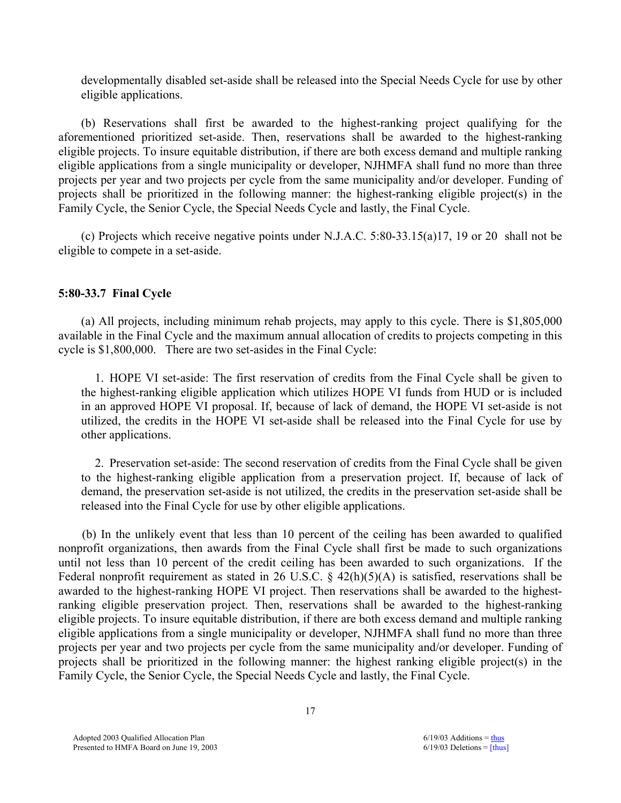developmentally disabled set-aside shall be released into the Special Needs Cycle for use by other eligible applications.

 (b) Reservations shall first be awarded to the highest-ranking project qualifying for the aforementioned prioritized set-aside. Then, reservations shall be awarded to the highest-ranking eligible projects. To insure equitable distribution, if there are both excess demand and multiple ranking eligible applications from a single municipality or developer, NJHMFA shall fund no more than three projects per year and two projects per cycle from the same municipality and/or developer. Funding of projects shall be prioritized in the following manner: the highest-ranking eligible project(s) in the Family Cycle, the Senior Cycle, the Special Needs Cycle and lastly, the Final Cycle.

 (c) Projects which receive negative points under N.J.A.C. 5:80-33.15(a)17, 19 or 20 shall not be eligible to compete in a set-aside.

## **5:80-33.7 Final Cycle**

 (a) All projects, including minimum rehab projects, may apply to this cycle. There is \$1,805,000 available in the Final Cycle and the maximum annual allocation of credits to projects competing in this cycle is \$1,800,000. There are two set-asides in the Final Cycle:

1. HOPE VI set-aside: The first reservation of credits from the Final Cycle shall be given to the highest-ranking eligible application which utilizes HOPE VI funds from HUD or is included in an approved HOPE VI proposal. If, because of lack of demand, the HOPE VI set-aside is not utilized, the credits in the HOPE VI set-aside shall be released into the Final Cycle for use by other applications.

2. Preservation set-aside: The second reservation of credits from the Final Cycle shall be given to the highest-ranking eligible application from a preservation project. If, because of lack of demand, the preservation set-aside is not utilized, the credits in the preservation set-aside shall be released into the Final Cycle for use by other eligible applications.

 (b) In the unlikely event that less than 10 percent of the ceiling has been awarded to qualified nonprofit organizations, then awards from the Final Cycle shall first be made to such organizations until not less than 10 percent of the credit ceiling has been awarded to such organizations. If the Federal nonprofit requirement as stated in 26 U.S.C. § 42(h)(5)(A) is satisfied, reservations shall be awarded to the highest-ranking HOPE VI project. Then reservations shall be awarded to the highestranking eligible preservation project. Then, reservations shall be awarded to the highest-ranking eligible projects. To insure equitable distribution, if there are both excess demand and multiple ranking eligible applications from a single municipality or developer, NJHMFA shall fund no more than three projects per year and two projects per cycle from the same municipality and/or developer. Funding of projects shall be prioritized in the following manner: the highest ranking eligible project(s) in the Family Cycle, the Senior Cycle, the Special Needs Cycle and lastly, the Final Cycle.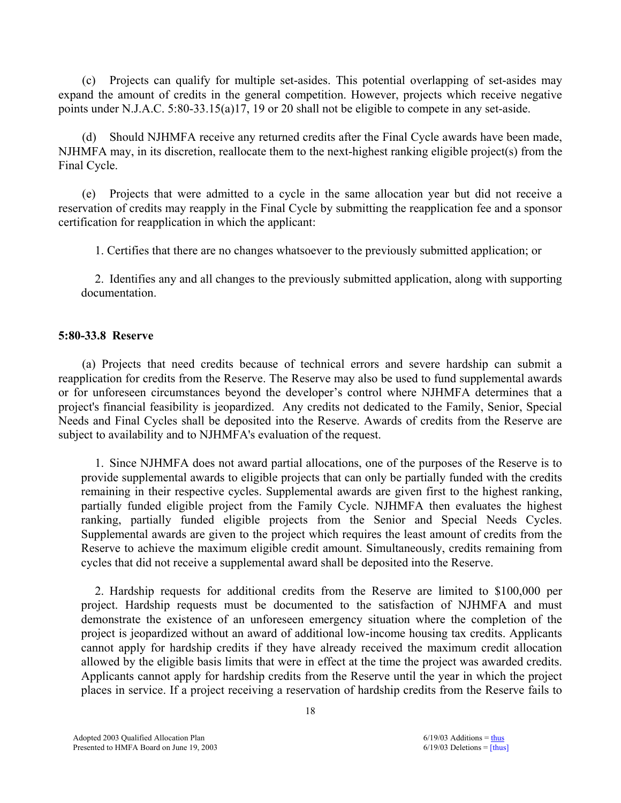(c) Projects can qualify for multiple set-asides. This potential overlapping of set-asides may expand the amount of credits in the general competition. However, projects which receive negative points under N.J.A.C. 5:80-33.15(a)17, 19 or 20 shall not be eligible to compete in any set-aside.

(d) Should NJHMFA receive any returned credits after the Final Cycle awards have been made, NJHMFA may, in its discretion, reallocate them to the next-highest ranking eligible project(s) from the Final Cycle.

(e) Projects that were admitted to a cycle in the same allocation year but did not receive a reservation of credits may reapply in the Final Cycle by submitting the reapplication fee and a sponsor certification for reapplication in which the applicant:

1. Certifies that there are no changes whatsoever to the previously submitted application; or

2. Identifies any and all changes to the previously submitted application, along with supporting documentation.

# **5:80-33.8 Reserve**

 (a) Projects that need credits because of technical errors and severe hardship can submit a reapplication for credits from the Reserve. The Reserve may also be used to fund supplemental awards or for unforeseen circumstances beyond the developer's control where NJHMFA determines that a project's financial feasibility is jeopardized. Any credits not dedicated to the Family, Senior, Special Needs and Final Cycles shall be deposited into the Reserve. Awards of credits from the Reserve are subject to availability and to NJHMFA's evaluation of the request.

1. Since NJHMFA does not award partial allocations, one of the purposes of the Reserve is to provide supplemental awards to eligible projects that can only be partially funded with the credits remaining in their respective cycles. Supplemental awards are given first to the highest ranking, partially funded eligible project from the Family Cycle. NJHMFA then evaluates the highest ranking, partially funded eligible projects from the Senior and Special Needs Cycles. Supplemental awards are given to the project which requires the least amount of credits from the Reserve to achieve the maximum eligible credit amount. Simultaneously, credits remaining from cycles that did not receive a supplemental award shall be deposited into the Reserve.

2. Hardship requests for additional credits from the Reserve are limited to \$100,000 per project. Hardship requests must be documented to the satisfaction of NJHMFA and must demonstrate the existence of an unforeseen emergency situation where the completion of the project is jeopardized without an award of additional low-income housing tax credits. Applicants cannot apply for hardship credits if they have already received the maximum credit allocation allowed by the eligible basis limits that were in effect at the time the project was awarded credits. Applicants cannot apply for hardship credits from the Reserve until the year in which the project places in service. If a project receiving a reservation of hardship credits from the Reserve fails to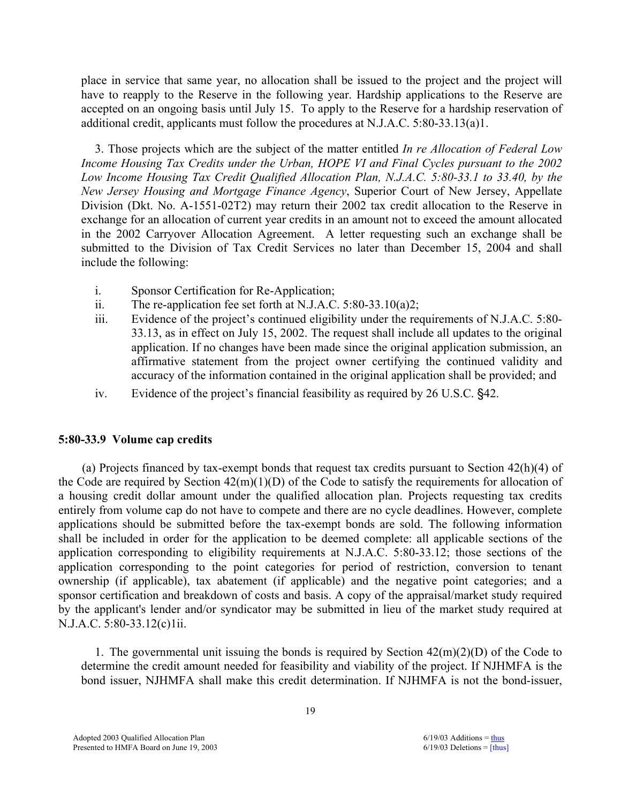place in service that same year, no allocation shall be issued to the project and the project will have to reapply to the Reserve in the following year. Hardship applications to the Reserve are accepted on an ongoing basis until July 15. To apply to the Reserve for a hardship reservation of additional credit, applicants must follow the procedures at N.J.A.C. 5:80-33.13(a)1.

3. Those projects which are the subject of the matter entitled *In re Allocation of Federal Low Income Housing Tax Credits under the Urban, HOPE VI and Final Cycles pursuant to the 2002*  Low Income Housing Tax Credit Qualified Allocation Plan, N.J.A.C. 5:80-33.1 to 33.40, by the *New Jersey Housing and Mortgage Finance Agency*, Superior Court of New Jersey, Appellate Division (Dkt. No. A-1551-02T2) may return their 2002 tax credit allocation to the Reserve in exchange for an allocation of current year credits in an amount not to exceed the amount allocated in the 2002 Carryover Allocation Agreement. A letter requesting such an exchange shall be submitted to the Division of Tax Credit Services no later than December 15, 2004 and shall include the following:

- i. Sponsor Certification for Re-Application;
- ii. The re-application fee set forth at N.J.A.C.  $5:80-33.10(a)2$ ;
- iii. Evidence of the project's continued eligibility under the requirements of N.J.A.C. 5:80- 33.13, as in effect on July 15, 2002. The request shall include all updates to the original application. If no changes have been made since the original application submission, an affirmative statement from the project owner certifying the continued validity and accuracy of the information contained in the original application shall be provided; and
- iv. Evidence of the project's financial feasibility as required by 26 U.S.C. §42.

### **5:80-33.9 Volume cap credits**

 (a) Projects financed by tax-exempt bonds that request tax credits pursuant to Section 42(h)(4) of the Code are required by Section 42(m)(1)(D) of the Code to satisfy the requirements for allocation of a housing credit dollar amount under the qualified allocation plan. Projects requesting tax credits entirely from volume cap do not have to compete and there are no cycle deadlines. However, complete applications should be submitted before the tax-exempt bonds are sold. The following information shall be included in order for the application to be deemed complete: all applicable sections of the application corresponding to eligibility requirements at N.J.A.C. 5:80-33.12; those sections of the application corresponding to the point categories for period of restriction, conversion to tenant ownership (if applicable), tax abatement (if applicable) and the negative point categories; and a sponsor certification and breakdown of costs and basis. A copy of the appraisal/market study required by the applicant's lender and/or syndicator may be submitted in lieu of the market study required at N.J.A.C. 5:80-33.12(c)1ii.

1. The governmental unit issuing the bonds is required by Section  $42(m)(2)(D)$  of the Code to determine the credit amount needed for feasibility and viability of the project. If NJHMFA is the bond issuer, NJHMFA shall make this credit determination. If NJHMFA is not the bond-issuer,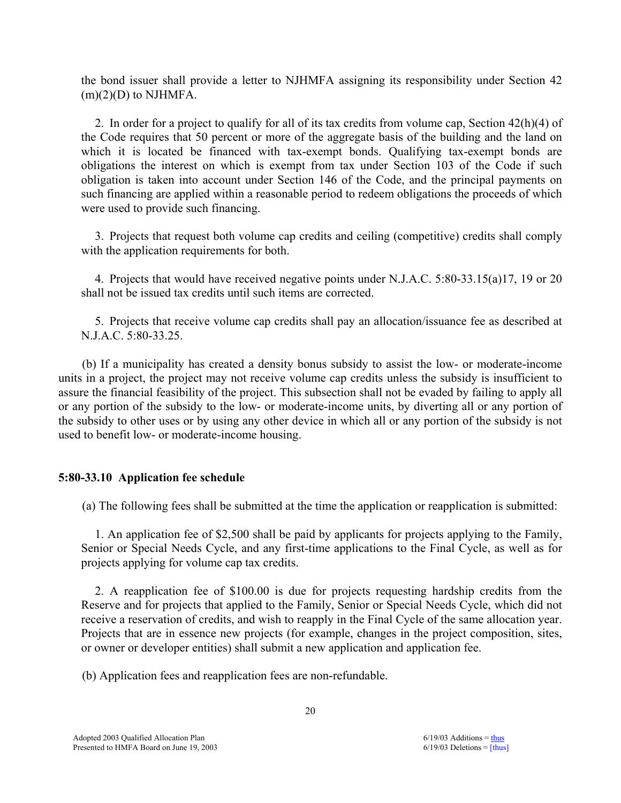the bond issuer shall provide a letter to NJHMFA assigning its responsibility under Section 42  $(m)(2)(D)$  to NJHMFA.

2. In order for a project to qualify for all of its tax credits from volume cap, Section 42(h)(4) of the Code requires that 50 percent or more of the aggregate basis of the building and the land on which it is located be financed with tax-exempt bonds. Qualifying tax-exempt bonds are obligations the interest on which is exempt from tax under Section 103 of the Code if such obligation is taken into account under Section 146 of the Code, and the principal payments on such financing are applied within a reasonable period to redeem obligations the proceeds of which were used to provide such financing.

3. Projects that request both volume cap credits and ceiling (competitive) credits shall comply with the application requirements for both.

4. Projects that would have received negative points under N.J.A.C. 5:80-33.15(a)17, 19 or 20 shall not be issued tax credits until such items are corrected.

5. Projects that receive volume cap credits shall pay an allocation/issuance fee as described at N.J.A.C. 5:80-33.25.

 (b) If a municipality has created a density bonus subsidy to assist the low- or moderate-income units in a project, the project may not receive volume cap credits unless the subsidy is insufficient to assure the financial feasibility of the project. This subsection shall not be evaded by failing to apply all or any portion of the subsidy to the low- or moderate-income units, by diverting all or any portion of the subsidy to other uses or by using any other device in which all or any portion of the subsidy is not used to benefit low- or moderate-income housing.

# **5:80-33.10 Application fee schedule**

(a) The following fees shall be submitted at the time the application or reapplication is submitted:

1. An application fee of \$2,500 shall be paid by applicants for projects applying to the Family, Senior or Special Needs Cycle, and any first-time applications to the Final Cycle, as well as for projects applying for volume cap tax credits.

2. A reapplication fee of \$100.00 is due for projects requesting hardship credits from the Reserve and for projects that applied to the Family, Senior or Special Needs Cycle, which did not receive a reservation of credits, and wish to reapply in the Final Cycle of the same allocation year. Projects that are in essence new projects (for example, changes in the project composition, sites, or owner or developer entities) shall submit a new application and application fee.

(b) Application fees and reapplication fees are non-refundable.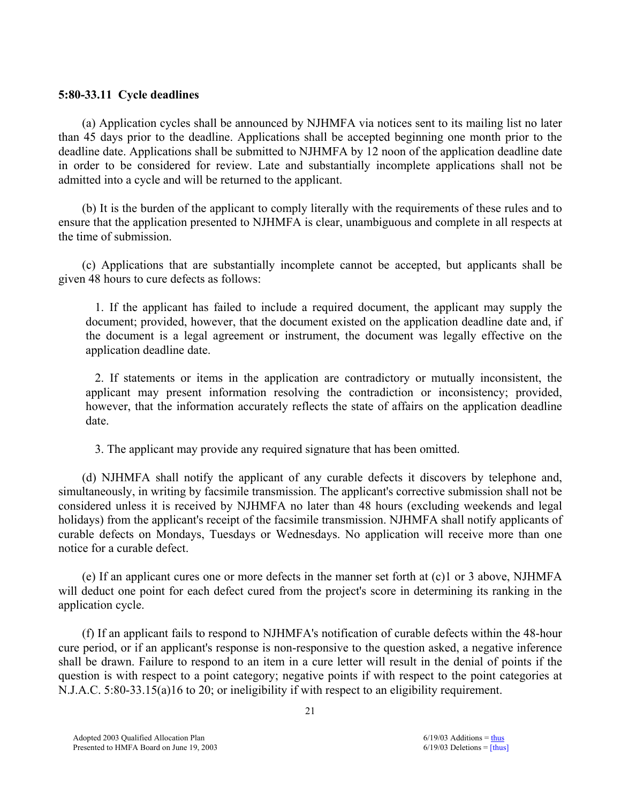#### **5:80-33.11 Cycle deadlines**

 (a) Application cycles shall be announced by NJHMFA via notices sent to its mailing list no later than 45 days prior to the deadline. Applications shall be accepted beginning one month prior to the deadline date. Applications shall be submitted to NJHMFA by 12 noon of the application deadline date in order to be considered for review. Late and substantially incomplete applications shall not be admitted into a cycle and will be returned to the applicant.

 (b) It is the burden of the applicant to comply literally with the requirements of these rules and to ensure that the application presented to NJHMFA is clear, unambiguous and complete in all respects at the time of submission.

 (c) Applications that are substantially incomplete cannot be accepted, but applicants shall be given 48 hours to cure defects as follows:

1. If the applicant has failed to include a required document, the applicant may supply the document; provided, however, that the document existed on the application deadline date and, if the document is a legal agreement or instrument, the document was legally effective on the application deadline date.

2. If statements or items in the application are contradictory or mutually inconsistent, the applicant may present information resolving the contradiction or inconsistency; provided, however, that the information accurately reflects the state of affairs on the application deadline date.

3. The applicant may provide any required signature that has been omitted.

 (d) NJHMFA shall notify the applicant of any curable defects it discovers by telephone and, simultaneously, in writing by facsimile transmission. The applicant's corrective submission shall not be considered unless it is received by NJHMFA no later than 48 hours (excluding weekends and legal holidays) from the applicant's receipt of the facsimile transmission. NJHMFA shall notify applicants of curable defects on Mondays, Tuesdays or Wednesdays. No application will receive more than one notice for a curable defect.

 (e) If an applicant cures one or more defects in the manner set forth at (c)1 or 3 above, NJHMFA will deduct one point for each defect cured from the project's score in determining its ranking in the application cycle.

 (f) If an applicant fails to respond to NJHMFA's notification of curable defects within the 48-hour cure period, or if an applicant's response is non-responsive to the question asked, a negative inference shall be drawn. Failure to respond to an item in a cure letter will result in the denial of points if the question is with respect to a point category; negative points if with respect to the point categories at N.J.A.C. 5:80-33.15(a)16 to 20; or ineligibility if with respect to an eligibility requirement.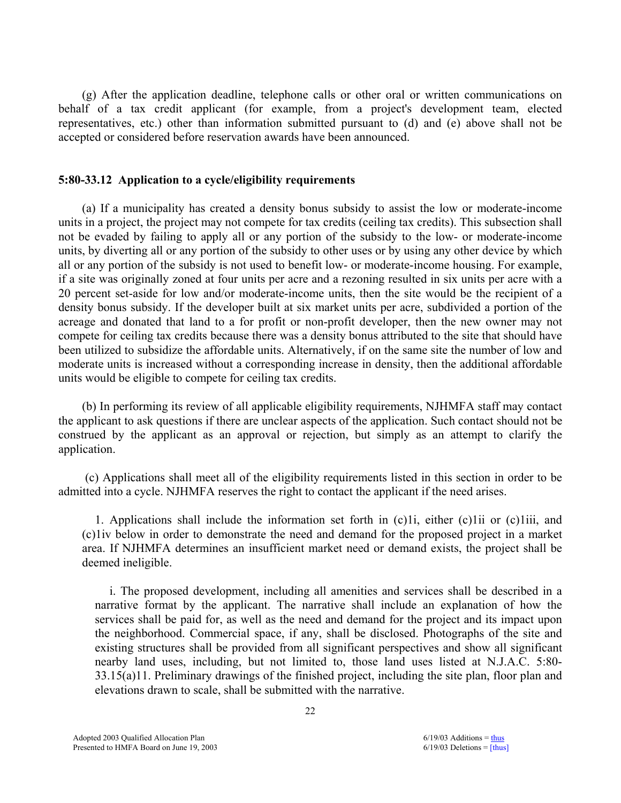(g) After the application deadline, telephone calls or other oral or written communications on behalf of a tax credit applicant (for example, from a project's development team, elected representatives, etc.) other than information submitted pursuant to (d) and (e) above shall not be accepted or considered before reservation awards have been announced.

### **5:80-33.12 Application to a cycle/eligibility requirements**

 (a) If a municipality has created a density bonus subsidy to assist the low or moderate-income units in a project, the project may not compete for tax credits (ceiling tax credits). This subsection shall not be evaded by failing to apply all or any portion of the subsidy to the low- or moderate-income units, by diverting all or any portion of the subsidy to other uses or by using any other device by which all or any portion of the subsidy is not used to benefit low- or moderate-income housing. For example, if a site was originally zoned at four units per acre and a rezoning resulted in six units per acre with a 20 percent set-aside for low and/or moderate-income units, then the site would be the recipient of a density bonus subsidy. If the developer built at six market units per acre, subdivided a portion of the acreage and donated that land to a for profit or non-profit developer, then the new owner may not compete for ceiling tax credits because there was a density bonus attributed to the site that should have been utilized to subsidize the affordable units. Alternatively, if on the same site the number of low and moderate units is increased without a corresponding increase in density, then the additional affordable units would be eligible to compete for ceiling tax credits.

 (b) In performing its review of all applicable eligibility requirements, NJHMFA staff may contact the applicant to ask questions if there are unclear aspects of the application. Such contact should not be construed by the applicant as an approval or rejection, but simply as an attempt to clarify the application.

 (c) Applications shall meet all of the eligibility requirements listed in this section in order to be admitted into a cycle. NJHMFA reserves the right to contact the applicant if the need arises.

1. Applications shall include the information set forth in (c)1i, either (c)1ii or (c)1iii, and (c)1iv below in order to demonstrate the need and demand for the proposed project in a market area. If NJHMFA determines an insufficient market need or demand exists, the project shall be deemed ineligible.

 i. The proposed development, including all amenities and services shall be described in a narrative format by the applicant. The narrative shall include an explanation of how the services shall be paid for, as well as the need and demand for the project and its impact upon the neighborhood. Commercial space, if any, shall be disclosed. Photographs of the site and existing structures shall be provided from all significant perspectives and show all significant nearby land uses, including, but not limited to, those land uses listed at N.J.A.C. 5:80- 33.15(a)11. Preliminary drawings of the finished project, including the site plan, floor plan and elevations drawn to scale, shall be submitted with the narrative.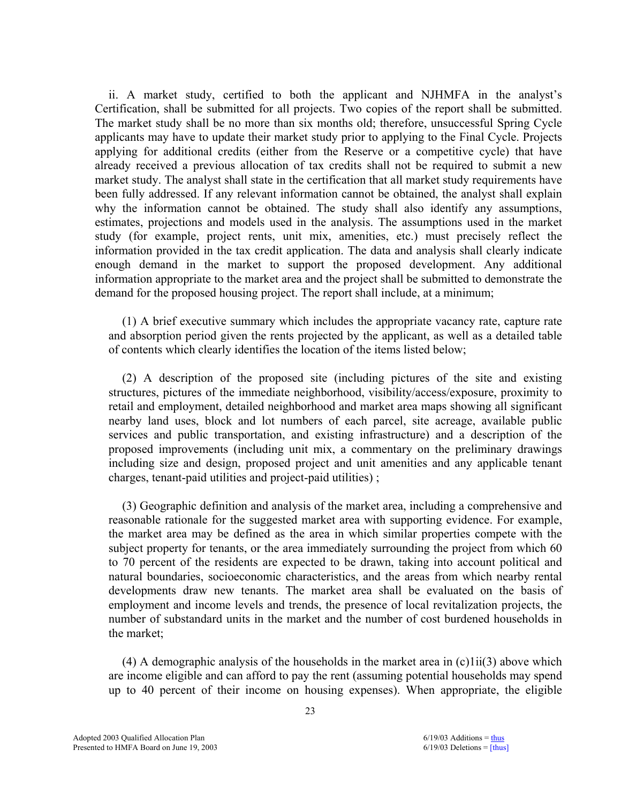ii. A market study, certified to both the applicant and NJHMFA in the analyst's Certification, shall be submitted for all projects. Two copies of the report shall be submitted. The market study shall be no more than six months old; therefore, unsuccessful Spring Cycle applicants may have to update their market study prior to applying to the Final Cycle. Projects applying for additional credits (either from the Reserve or a competitive cycle) that have already received a previous allocation of tax credits shall not be required to submit a new market study. The analyst shall state in the certification that all market study requirements have been fully addressed. If any relevant information cannot be obtained, the analyst shall explain why the information cannot be obtained. The study shall also identify any assumptions, estimates, projections and models used in the analysis. The assumptions used in the market study (for example, project rents, unit mix, amenities, etc.) must precisely reflect the information provided in the tax credit application. The data and analysis shall clearly indicate enough demand in the market to support the proposed development. Any additional information appropriate to the market area and the project shall be submitted to demonstrate the demand for the proposed housing project. The report shall include, at a minimum;

(1) A brief executive summary which includes the appropriate vacancy rate, capture rate and absorption period given the rents projected by the applicant, as well as a detailed table of contents which clearly identifies the location of the items listed below;

(2) A description of the proposed site (including pictures of the site and existing structures, pictures of the immediate neighborhood, visibility/access/exposure, proximity to retail and employment, detailed neighborhood and market area maps showing all significant nearby land uses, block and lot numbers of each parcel, site acreage, available public services and public transportation, and existing infrastructure) and a description of the proposed improvements (including unit mix, a commentary on the preliminary drawings including size and design, proposed project and unit amenities and any applicable tenant charges, tenant-paid utilities and project-paid utilities) ;

(3) Geographic definition and analysis of the market area, including a comprehensive and reasonable rationale for the suggested market area with supporting evidence. For example, the market area may be defined as the area in which similar properties compete with the subject property for tenants, or the area immediately surrounding the project from which 60 to 70 percent of the residents are expected to be drawn, taking into account political and natural boundaries, socioeconomic characteristics, and the areas from which nearby rental developments draw new tenants. The market area shall be evaluated on the basis of employment and income levels and trends, the presence of local revitalization projects, the number of substandard units in the market and the number of cost burdened households in the market;

(4) A demographic analysis of the households in the market area in  $(c)1ii(3)$  above which are income eligible and can afford to pay the rent (assuming potential households may spend up to 40 percent of their income on housing expenses). When appropriate, the eligible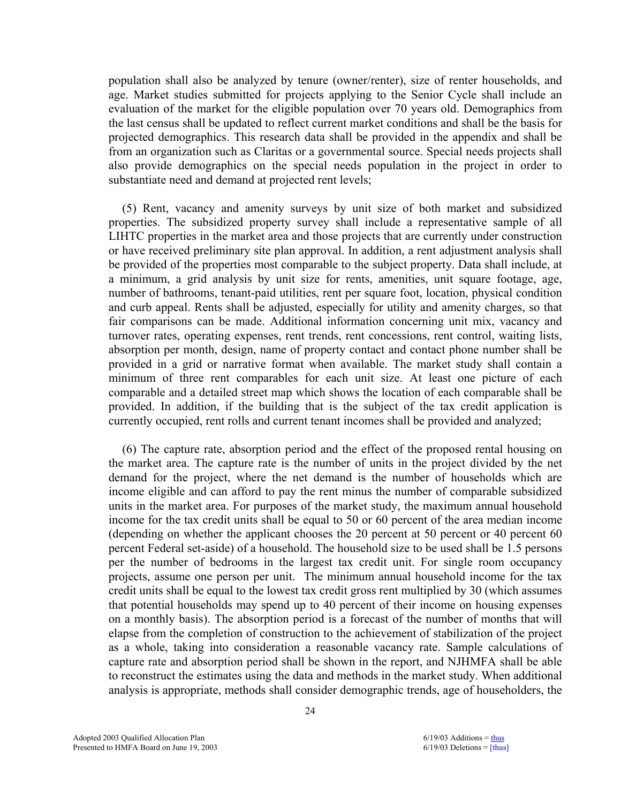population shall also be analyzed by tenure (owner/renter), size of renter households, and age. Market studies submitted for projects applying to the Senior Cycle shall include an evaluation of the market for the eligible population over 70 years old. Demographics from the last census shall be updated to reflect current market conditions and shall be the basis for projected demographics. This research data shall be provided in the appendix and shall be from an organization such as Claritas or a governmental source. Special needs projects shall also provide demographics on the special needs population in the project in order to substantiate need and demand at projected rent levels;

(5) Rent, vacancy and amenity surveys by unit size of both market and subsidized properties. The subsidized property survey shall include a representative sample of all LIHTC properties in the market area and those projects that are currently under construction or have received preliminary site plan approval. In addition, a rent adjustment analysis shall be provided of the properties most comparable to the subject property. Data shall include, at a minimum, a grid analysis by unit size for rents, amenities, unit square footage, age, number of bathrooms, tenant-paid utilities, rent per square foot, location, physical condition and curb appeal. Rents shall be adjusted, especially for utility and amenity charges, so that fair comparisons can be made. Additional information concerning unit mix, vacancy and turnover rates, operating expenses, rent trends, rent concessions, rent control, waiting lists, absorption per month, design, name of property contact and contact phone number shall be provided in a grid or narrative format when available. The market study shall contain a minimum of three rent comparables for each unit size. At least one picture of each comparable and a detailed street map which shows the location of each comparable shall be provided. In addition, if the building that is the subject of the tax credit application is currently occupied, rent rolls and current tenant incomes shall be provided and analyzed;

(6) The capture rate, absorption period and the effect of the proposed rental housing on the market area. The capture rate is the number of units in the project divided by the net demand for the project, where the net demand is the number of households which are income eligible and can afford to pay the rent minus the number of comparable subsidized units in the market area. For purposes of the market study, the maximum annual household income for the tax credit units shall be equal to 50 or 60 percent of the area median income (depending on whether the applicant chooses the 20 percent at 50 percent or 40 percent 60 percent Federal set-aside) of a household. The household size to be used shall be 1.5 persons per the number of bedrooms in the largest tax credit unit. For single room occupancy projects, assume one person per unit. The minimum annual household income for the tax credit units shall be equal to the lowest tax credit gross rent multiplied by 30 (which assumes that potential households may spend up to 40 percent of their income on housing expenses on a monthly basis). The absorption period is a forecast of the number of months that will elapse from the completion of construction to the achievement of stabilization of the project as a whole, taking into consideration a reasonable vacancy rate. Sample calculations of capture rate and absorption period shall be shown in the report, and NJHMFA shall be able to reconstruct the estimates using the data and methods in the market study. When additional analysis is appropriate, methods shall consider demographic trends, age of householders, the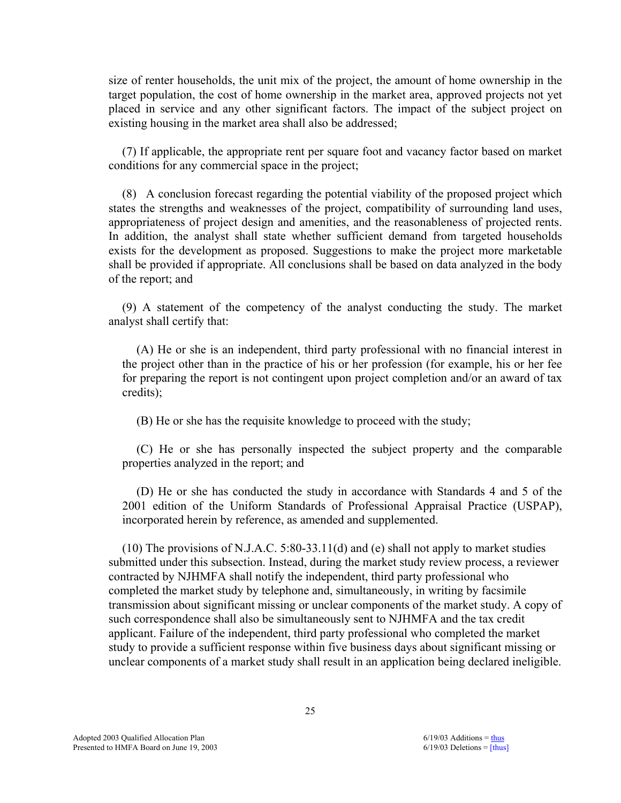size of renter households, the unit mix of the project, the amount of home ownership in the target population, the cost of home ownership in the market area, approved projects not yet placed in service and any other significant factors. The impact of the subject project on existing housing in the market area shall also be addressed;

(7) If applicable, the appropriate rent per square foot and vacancy factor based on market conditions for any commercial space in the project;

(8) A conclusion forecast regarding the potential viability of the proposed project which states the strengths and weaknesses of the project, compatibility of surrounding land uses, appropriateness of project design and amenities, and the reasonableness of projected rents. In addition, the analyst shall state whether sufficient demand from targeted households exists for the development as proposed. Suggestions to make the project more marketable shall be provided if appropriate. All conclusions shall be based on data analyzed in the body of the report; and

(9) A statement of the competency of the analyst conducting the study. The market analyst shall certify that:

(A) He or she is an independent, third party professional with no financial interest in the project other than in the practice of his or her profession (for example, his or her fee for preparing the report is not contingent upon project completion and/or an award of tax credits);

(B) He or she has the requisite knowledge to proceed with the study;

(C) He or she has personally inspected the subject property and the comparable properties analyzed in the report; and

(D) He or she has conducted the study in accordance with Standards 4 and 5 of the 2001 edition of the Uniform Standards of Professional Appraisal Practice (USPAP), incorporated herein by reference, as amended and supplemented.

(10) The provisions of N.J.A.C. 5:80-33.11(d) and (e) shall not apply to market studies submitted under this subsection. Instead, during the market study review process, a reviewer contracted by NJHMFA shall notify the independent, third party professional who completed the market study by telephone and, simultaneously, in writing by facsimile transmission about significant missing or unclear components of the market study. A copy of such correspondence shall also be simultaneously sent to NJHMFA and the tax credit applicant. Failure of the independent, third party professional who completed the market study to provide a sufficient response within five business days about significant missing or unclear components of a market study shall result in an application being declared ineligible.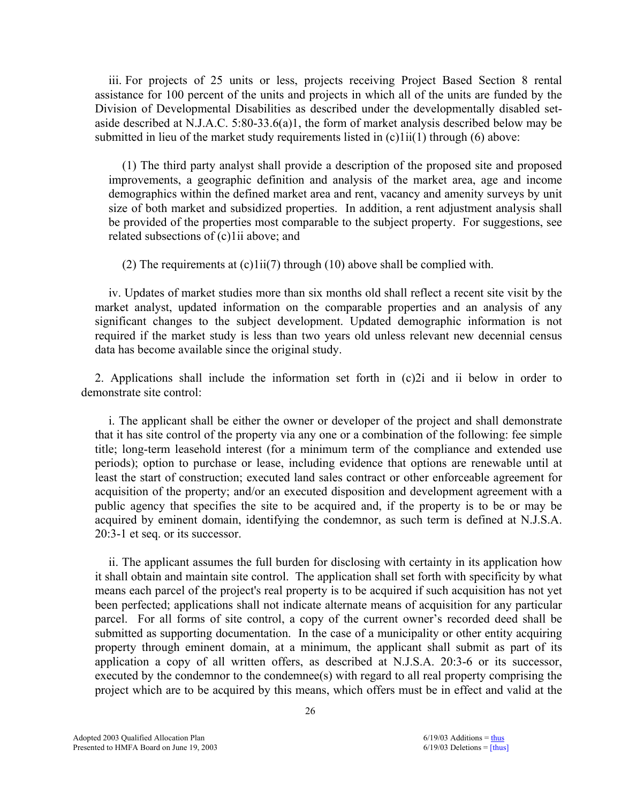iii. For projects of 25 units or less, projects receiving Project Based Section 8 rental assistance for 100 percent of the units and projects in which all of the units are funded by the Division of Developmental Disabilities as described under the developmentally disabled setaside described at N.J.A.C. 5:80-33.6(a)1, the form of market analysis described below may be submitted in lieu of the market study requirements listed in (c)1ii(1) through (6) above:

(1) The third party analyst shall provide a description of the proposed site and proposed improvements, a geographic definition and analysis of the market area, age and income demographics within the defined market area and rent, vacancy and amenity surveys by unit size of both market and subsidized properties. In addition, a rent adjustment analysis shall be provided of the properties most comparable to the subject property. For suggestions, see related subsections of (c)1ii above; and

(2) The requirements at (c)1ii(7) through (10) above shall be complied with.

iv. Updates of market studies more than six months old shall reflect a recent site visit by the market analyst, updated information on the comparable properties and an analysis of any significant changes to the subject development. Updated demographic information is not required if the market study is less than two years old unless relevant new decennial census data has become available since the original study.

2. Applications shall include the information set forth in (c)2i and ii below in order to demonstrate site control:

i. The applicant shall be either the owner or developer of the project and shall demonstrate that it has site control of the property via any one or a combination of the following: fee simple title; long-term leasehold interest (for a minimum term of the compliance and extended use periods); option to purchase or lease, including evidence that options are renewable until at least the start of construction; executed land sales contract or other enforceable agreement for acquisition of the property; and/or an executed disposition and development agreement with a public agency that specifies the site to be acquired and, if the property is to be or may be acquired by eminent domain, identifying the condemnor, as such term is defined at N.J.S.A. 20:3-1 et seq. or its successor.

ii. The applicant assumes the full burden for disclosing with certainty in its application how it shall obtain and maintain site control. The application shall set forth with specificity by what means each parcel of the project's real property is to be acquired if such acquisition has not yet been perfected; applications shall not indicate alternate means of acquisition for any particular parcel. For all forms of site control, a copy of the current owner's recorded deed shall be submitted as supporting documentation. In the case of a municipality or other entity acquiring property through eminent domain, at a minimum, the applicant shall submit as part of its application a copy of all written offers, as described at N.J.S.A. 20:3-6 or its successor, executed by the condemnor to the condemnee(s) with regard to all real property comprising the project which are to be acquired by this means, which offers must be in effect and valid at the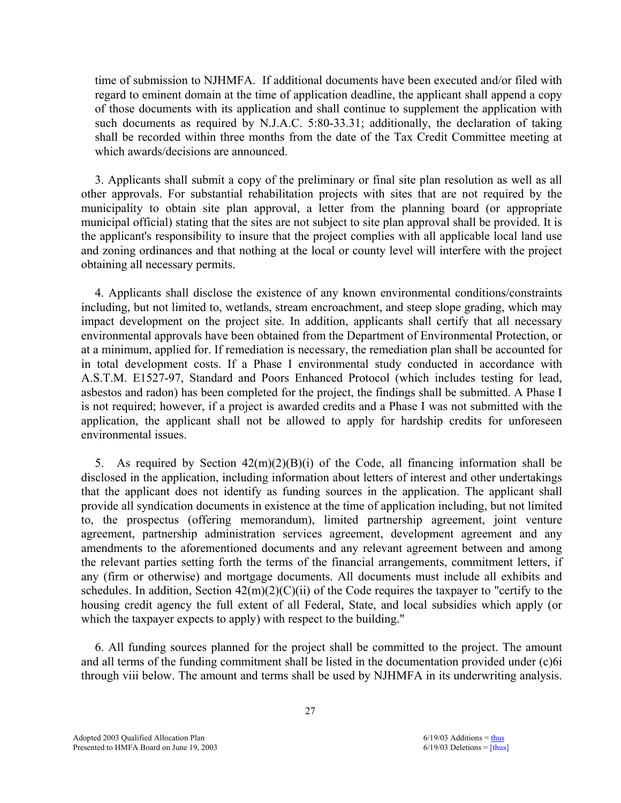time of submission to NJHMFA. If additional documents have been executed and/or filed with regard to eminent domain at the time of application deadline, the applicant shall append a copy of those documents with its application and shall continue to supplement the application with such documents as required by N.J.A.C. 5:80-33.31; additionally, the declaration of taking shall be recorded within three months from the date of the Tax Credit Committee meeting at which awards/decisions are announced.

3. Applicants shall submit a copy of the preliminary or final site plan resolution as well as all other approvals. For substantial rehabilitation projects with sites that are not required by the municipality to obtain site plan approval, a letter from the planning board (or appropriate municipal official) stating that the sites are not subject to site plan approval shall be provided. It is the applicant's responsibility to insure that the project complies with all applicable local land use and zoning ordinances and that nothing at the local or county level will interfere with the project obtaining all necessary permits.

4. Applicants shall disclose the existence of any known environmental conditions/constraints including, but not limited to, wetlands, stream encroachment, and steep slope grading, which may impact development on the project site. In addition, applicants shall certify that all necessary environmental approvals have been obtained from the Department of Environmental Protection, or at a minimum, applied for. If remediation is necessary, the remediation plan shall be accounted for in total development costs. If a Phase I environmental study conducted in accordance with A.S.T.M. E1527-97, Standard and Poors Enhanced Protocol (which includes testing for lead, asbestos and radon) has been completed for the project, the findings shall be submitted. A Phase I is not required; however, if a project is awarded credits and a Phase I was not submitted with the application, the applicant shall not be allowed to apply for hardship credits for unforeseen environmental issues.

5. As required by Section  $42(m)(2)(B)(i)$  of the Code, all financing information shall be disclosed in the application, including information about letters of interest and other undertakings that the applicant does not identify as funding sources in the application. The applicant shall provide all syndication documents in existence at the time of application including, but not limited to, the prospectus (offering memorandum), limited partnership agreement, joint venture agreement, partnership administration services agreement, development agreement and any amendments to the aforementioned documents and any relevant agreement between and among the relevant parties setting forth the terms of the financial arrangements, commitment letters, if any (firm or otherwise) and mortgage documents. All documents must include all exhibits and schedules. In addition, Section  $42(m)(2)(C)(ii)$  of the Code requires the taxpayer to "certify to the housing credit agency the full extent of all Federal, State, and local subsidies which apply (or which the taxpayer expects to apply) with respect to the building."

6. All funding sources planned for the project shall be committed to the project. The amount and all terms of the funding commitment shall be listed in the documentation provided under (c)6i through viii below. The amount and terms shall be used by NJHMFA in its underwriting analysis.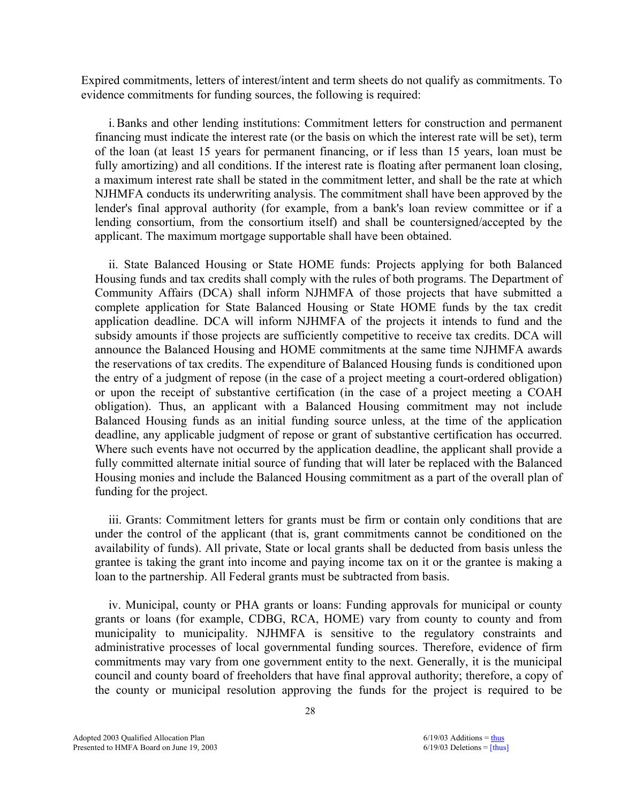Expired commitments, letters of interest/intent and term sheets do not qualify as commitments. To evidence commitments for funding sources, the following is required:

i. Banks and other lending institutions: Commitment letters for construction and permanent financing must indicate the interest rate (or the basis on which the interest rate will be set), term of the loan (at least 15 years for permanent financing, or if less than 15 years, loan must be fully amortizing) and all conditions. If the interest rate is floating after permanent loan closing, a maximum interest rate shall be stated in the commitment letter, and shall be the rate at which NJHMFA conducts its underwriting analysis. The commitment shall have been approved by the lender's final approval authority (for example, from a bank's loan review committee or if a lending consortium, from the consortium itself) and shall be countersigned/accepted by the applicant. The maximum mortgage supportable shall have been obtained.

ii. State Balanced Housing or State HOME funds: Projects applying for both Balanced Housing funds and tax credits shall comply with the rules of both programs. The Department of Community Affairs (DCA) shall inform NJHMFA of those projects that have submitted a complete application for State Balanced Housing or State HOME funds by the tax credit application deadline. DCA will inform NJHMFA of the projects it intends to fund and the subsidy amounts if those projects are sufficiently competitive to receive tax credits. DCA will announce the Balanced Housing and HOME commitments at the same time NJHMFA awards the reservations of tax credits. The expenditure of Balanced Housing funds is conditioned upon the entry of a judgment of repose (in the case of a project meeting a court-ordered obligation) or upon the receipt of substantive certification (in the case of a project meeting a COAH obligation). Thus, an applicant with a Balanced Housing commitment may not include Balanced Housing funds as an initial funding source unless, at the time of the application deadline, any applicable judgment of repose or grant of substantive certification has occurred. Where such events have not occurred by the application deadline, the applicant shall provide a fully committed alternate initial source of funding that will later be replaced with the Balanced Housing monies and include the Balanced Housing commitment as a part of the overall plan of funding for the project.

iii. Grants: Commitment letters for grants must be firm or contain only conditions that are under the control of the applicant (that is, grant commitments cannot be conditioned on the availability of funds). All private, State or local grants shall be deducted from basis unless the grantee is taking the grant into income and paying income tax on it or the grantee is making a loan to the partnership. All Federal grants must be subtracted from basis.

iv. Municipal, county or PHA grants or loans: Funding approvals for municipal or county grants or loans (for example, CDBG, RCA, HOME) vary from county to county and from municipality to municipality. NJHMFA is sensitive to the regulatory constraints and administrative processes of local governmental funding sources. Therefore, evidence of firm commitments may vary from one government entity to the next. Generally, it is the municipal council and county board of freeholders that have final approval authority; therefore, a copy of the county or municipal resolution approving the funds for the project is required to be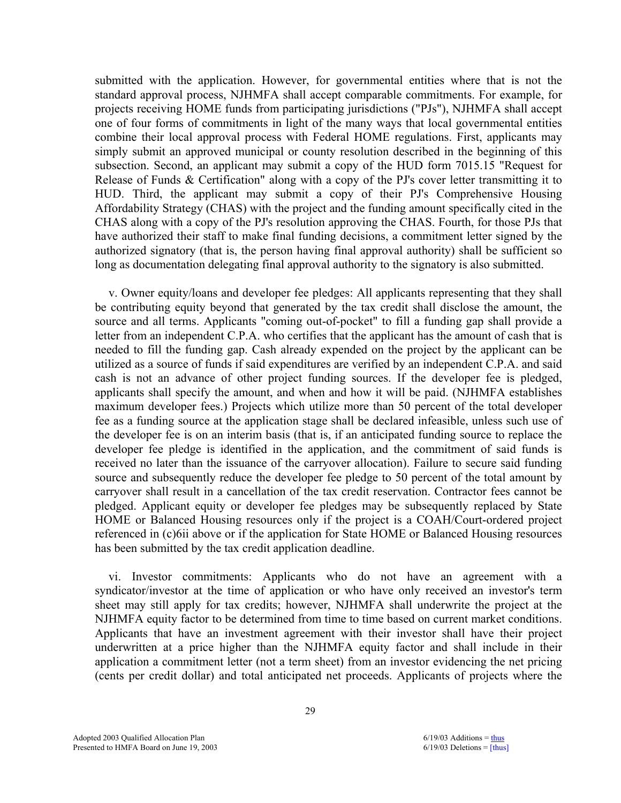submitted with the application. However, for governmental entities where that is not the standard approval process, NJHMFA shall accept comparable commitments. For example, for projects receiving HOME funds from participating jurisdictions ("PJs"), NJHMFA shall accept one of four forms of commitments in light of the many ways that local governmental entities combine their local approval process with Federal HOME regulations. First, applicants may simply submit an approved municipal or county resolution described in the beginning of this subsection. Second, an applicant may submit a copy of the HUD form 7015.15 "Request for Release of Funds & Certification" along with a copy of the PJ's cover letter transmitting it to HUD. Third, the applicant may submit a copy of their PJ's Comprehensive Housing Affordability Strategy (CHAS) with the project and the funding amount specifically cited in the CHAS along with a copy of the PJ's resolution approving the CHAS. Fourth, for those PJs that have authorized their staff to make final funding decisions, a commitment letter signed by the authorized signatory (that is, the person having final approval authority) shall be sufficient so long as documentation delegating final approval authority to the signatory is also submitted.

v. Owner equity/loans and developer fee pledges: All applicants representing that they shall be contributing equity beyond that generated by the tax credit shall disclose the amount, the source and all terms. Applicants "coming out-of-pocket" to fill a funding gap shall provide a letter from an independent C.P.A. who certifies that the applicant has the amount of cash that is needed to fill the funding gap. Cash already expended on the project by the applicant can be utilized as a source of funds if said expenditures are verified by an independent C.P.A. and said cash is not an advance of other project funding sources. If the developer fee is pledged, applicants shall specify the amount, and when and how it will be paid. (NJHMFA establishes maximum developer fees.) Projects which utilize more than 50 percent of the total developer fee as a funding source at the application stage shall be declared infeasible, unless such use of the developer fee is on an interim basis (that is, if an anticipated funding source to replace the developer fee pledge is identified in the application, and the commitment of said funds is received no later than the issuance of the carryover allocation). Failure to secure said funding source and subsequently reduce the developer fee pledge to 50 percent of the total amount by carryover shall result in a cancellation of the tax credit reservation. Contractor fees cannot be pledged. Applicant equity or developer fee pledges may be subsequently replaced by State HOME or Balanced Housing resources only if the project is a COAH/Court-ordered project referenced in (c)6ii above or if the application for State HOME or Balanced Housing resources has been submitted by the tax credit application deadline.

vi. Investor commitments: Applicants who do not have an agreement with a syndicator/investor at the time of application or who have only received an investor's term sheet may still apply for tax credits; however, NJHMFA shall underwrite the project at the NJHMFA equity factor to be determined from time to time based on current market conditions. Applicants that have an investment agreement with their investor shall have their project underwritten at a price higher than the NJHMFA equity factor and shall include in their application a commitment letter (not a term sheet) from an investor evidencing the net pricing (cents per credit dollar) and total anticipated net proceeds. Applicants of projects where the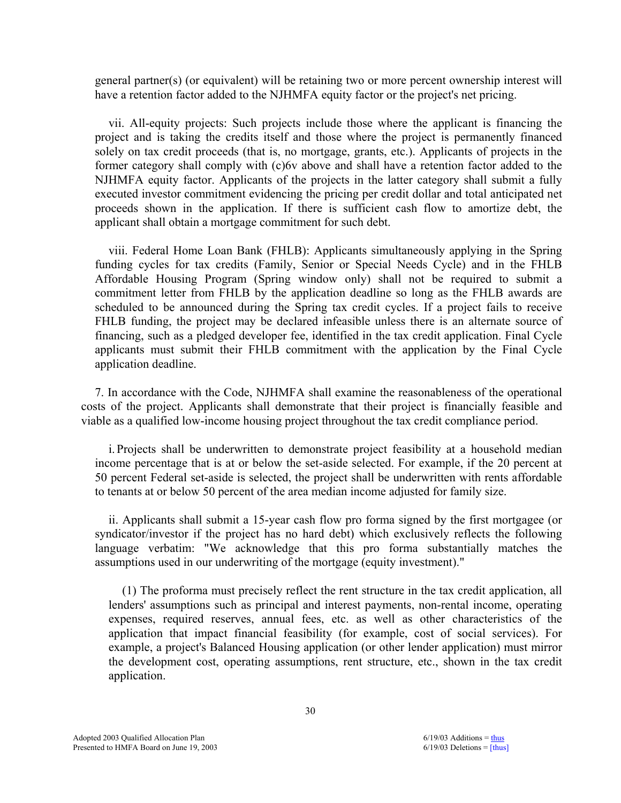general partner(s) (or equivalent) will be retaining two or more percent ownership interest will have a retention factor added to the NJHMFA equity factor or the project's net pricing.

vii. All-equity projects: Such projects include those where the applicant is financing the project and is taking the credits itself and those where the project is permanently financed solely on tax credit proceeds (that is, no mortgage, grants, etc.). Applicants of projects in the former category shall comply with (c)6v above and shall have a retention factor added to the NJHMFA equity factor. Applicants of the projects in the latter category shall submit a fully executed investor commitment evidencing the pricing per credit dollar and total anticipated net proceeds shown in the application. If there is sufficient cash flow to amortize debt, the applicant shall obtain a mortgage commitment for such debt.

 viii. Federal Home Loan Bank (FHLB): Applicants simultaneously applying in the Spring funding cycles for tax credits (Family, Senior or Special Needs Cycle) and in the FHLB Affordable Housing Program (Spring window only) shall not be required to submit a commitment letter from FHLB by the application deadline so long as the FHLB awards are scheduled to be announced during the Spring tax credit cycles. If a project fails to receive FHLB funding, the project may be declared infeasible unless there is an alternate source of financing, such as a pledged developer fee, identified in the tax credit application. Final Cycle applicants must submit their FHLB commitment with the application by the Final Cycle application deadline.

7. In accordance with the Code, NJHMFA shall examine the reasonableness of the operational costs of the project. Applicants shall demonstrate that their project is financially feasible and viable as a qualified low-income housing project throughout the tax credit compliance period.

 i. Projects shall be underwritten to demonstrate project feasibility at a household median income percentage that is at or below the set-aside selected. For example, if the 20 percent at 50 percent Federal set-aside is selected, the project shall be underwritten with rents affordable to tenants at or below 50 percent of the area median income adjusted for family size.

ii. Applicants shall submit a 15-year cash flow pro forma signed by the first mortgagee (or syndicator/investor if the project has no hard debt) which exclusively reflects the following language verbatim: "We acknowledge that this pro forma substantially matches the assumptions used in our underwriting of the mortgage (equity investment)."

 (1) The proforma must precisely reflect the rent structure in the tax credit application, all lenders' assumptions such as principal and interest payments, non-rental income, operating expenses, required reserves, annual fees, etc. as well as other characteristics of the application that impact financial feasibility (for example, cost of social services). For example, a project's Balanced Housing application (or other lender application) must mirror the development cost, operating assumptions, rent structure, etc., shown in the tax credit application.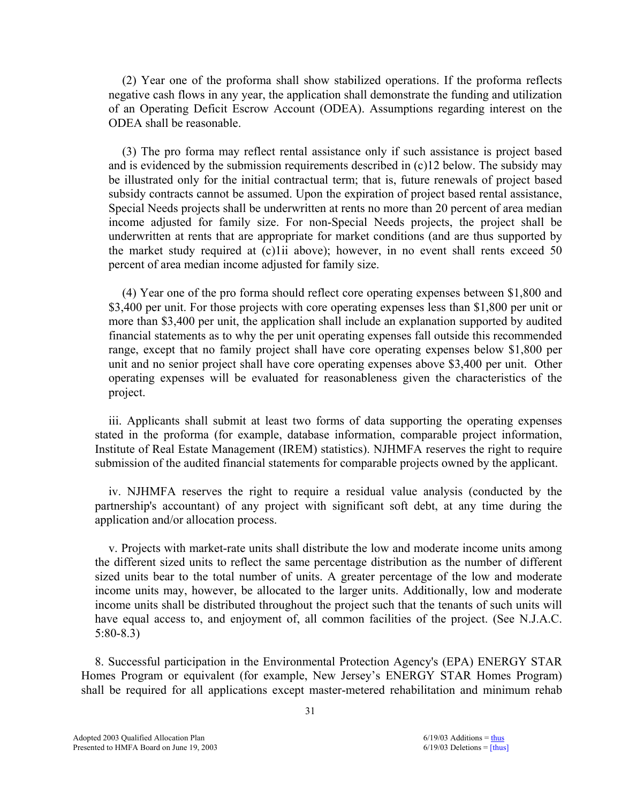(2) Year one of the proforma shall show stabilized operations. If the proforma reflects negative cash flows in any year, the application shall demonstrate the funding and utilization of an Operating Deficit Escrow Account (ODEA). Assumptions regarding interest on the ODEA shall be reasonable.

 (3) The pro forma may reflect rental assistance only if such assistance is project based and is evidenced by the submission requirements described in  $(c)12$  below. The subsidy may be illustrated only for the initial contractual term; that is, future renewals of project based subsidy contracts cannot be assumed. Upon the expiration of project based rental assistance, Special Needs projects shall be underwritten at rents no more than 20 percent of area median income adjusted for family size. For non-Special Needs projects, the project shall be underwritten at rents that are appropriate for market conditions (and are thus supported by the market study required at (c)1ii above); however, in no event shall rents exceed 50 percent of area median income adjusted for family size.

 (4) Year one of the pro forma should reflect core operating expenses between \$1,800 and \$3,400 per unit. For those projects with core operating expenses less than \$1,800 per unit or more than \$3,400 per unit, the application shall include an explanation supported by audited financial statements as to why the per unit operating expenses fall outside this recommended range, except that no family project shall have core operating expenses below \$1,800 per unit and no senior project shall have core operating expenses above \$3,400 per unit. Other operating expenses will be evaluated for reasonableness given the characteristics of the project.

iii. Applicants shall submit at least two forms of data supporting the operating expenses stated in the proforma (for example, database information, comparable project information, Institute of Real Estate Management (IREM) statistics). NJHMFA reserves the right to require submission of the audited financial statements for comparable projects owned by the applicant.

 iv. NJHMFA reserves the right to require a residual value analysis (conducted by the partnership's accountant) of any project with significant soft debt, at any time during the application and/or allocation process.

 v. Projects with market-rate units shall distribute the low and moderate income units among the different sized units to reflect the same percentage distribution as the number of different sized units bear to the total number of units. A greater percentage of the low and moderate income units may, however, be allocated to the larger units. Additionally, low and moderate income units shall be distributed throughout the project such that the tenants of such units will have equal access to, and enjoyment of, all common facilities of the project. (See N.J.A.C. 5:80-8.3)

8. Successful participation in the Environmental Protection Agency's (EPA) ENERGY STAR Homes Program or equivalent (for example, New Jersey's ENERGY STAR Homes Program) shall be required for all applications except master-metered rehabilitation and minimum rehab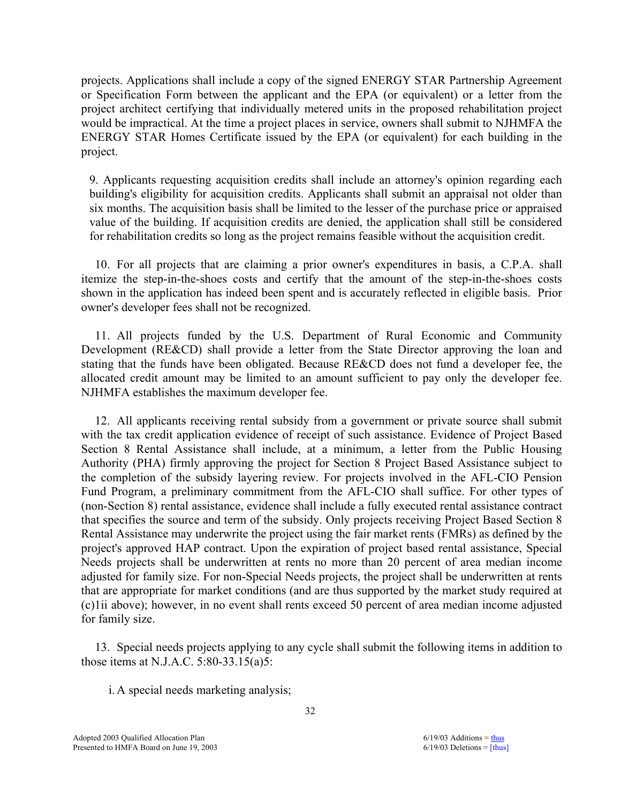projects. Applications shall include a copy of the signed ENERGY STAR Partnership Agreement or Specification Form between the applicant and the EPA (or equivalent) or a letter from the project architect certifying that individually metered units in the proposed rehabilitation project would be impractical. At the time a project places in service, owners shall submit to NJHMFA the ENERGY STAR Homes Certificate issued by the EPA (or equivalent) for each building in the project.

 9. Applicants requesting acquisition credits shall include an attorney's opinion regarding each building's eligibility for acquisition credits. Applicants shall submit an appraisal not older than six months. The acquisition basis shall be limited to the lesser of the purchase price or appraised value of the building. If acquisition credits are denied, the application shall still be considered for rehabilitation credits so long as the project remains feasible without the acquisition credit.

10. For all projects that are claiming a prior owner's expenditures in basis, a C.P.A. shall itemize the step-in-the-shoes costs and certify that the amount of the step-in-the-shoes costs shown in the application has indeed been spent and is accurately reflected in eligible basis. Prior owner's developer fees shall not be recognized.

11. All projects funded by the U.S. Department of Rural Economic and Community Development (RE&CD) shall provide a letter from the State Director approving the loan and stating that the funds have been obligated. Because RE&CD does not fund a developer fee, the allocated credit amount may be limited to an amount sufficient to pay only the developer fee. NJHMFA establishes the maximum developer fee.

12. All applicants receiving rental subsidy from a government or private source shall submit with the tax credit application evidence of receipt of such assistance. Evidence of Project Based Section 8 Rental Assistance shall include, at a minimum, a letter from the Public Housing Authority (PHA) firmly approving the project for Section 8 Project Based Assistance subject to the completion of the subsidy layering review. For projects involved in the AFL-CIO Pension Fund Program, a preliminary commitment from the AFL-CIO shall suffice. For other types of (non-Section 8) rental assistance, evidence shall include a fully executed rental assistance contract that specifies the source and term of the subsidy. Only projects receiving Project Based Section 8 Rental Assistance may underwrite the project using the fair market rents (FMRs) as defined by the project's approved HAP contract. Upon the expiration of project based rental assistance, Special Needs projects shall be underwritten at rents no more than 20 percent of area median income adjusted for family size. For non-Special Needs projects, the project shall be underwritten at rents that are appropriate for market conditions (and are thus supported by the market study required at (c)1ii above); however, in no event shall rents exceed 50 percent of area median income adjusted for family size.

13. Special needs projects applying to any cycle shall submit the following items in addition to those items at N.J.A.C. 5:80-33.15(a)5:

i. A special needs marketing analysis;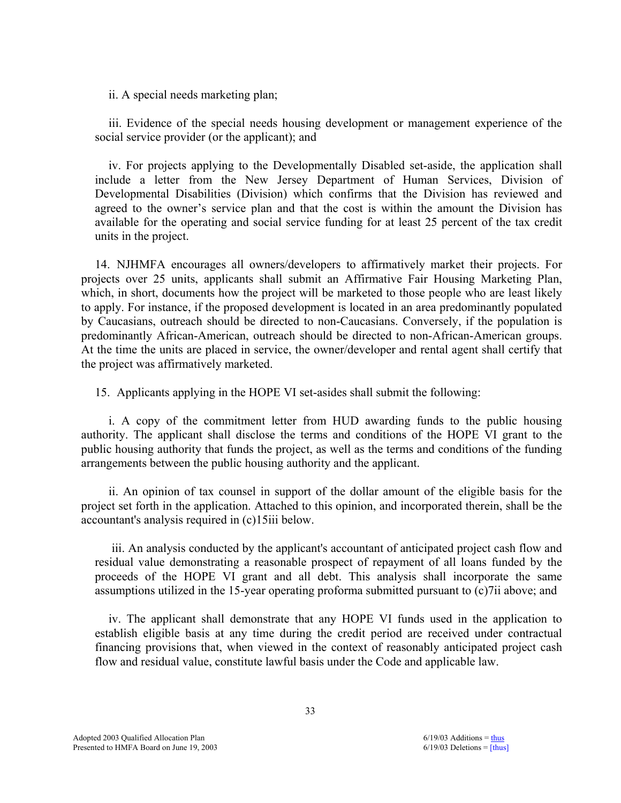ii. A special needs marketing plan;

iii. Evidence of the special needs housing development or management experience of the social service provider (or the applicant); and

iv. For projects applying to the Developmentally Disabled set-aside, the application shall include a letter from the New Jersey Department of Human Services, Division of Developmental Disabilities (Division) which confirms that the Division has reviewed and agreed to the owner's service plan and that the cost is within the amount the Division has available for the operating and social service funding for at least 25 percent of the tax credit units in the project.

14. NJHMFA encourages all owners/developers to affirmatively market their projects. For projects over 25 units, applicants shall submit an Affirmative Fair Housing Marketing Plan, which, in short, documents how the project will be marketed to those people who are least likely to apply. For instance, if the proposed development is located in an area predominantly populated by Caucasians, outreach should be directed to non-Caucasians. Conversely, if the population is predominantly African-American, outreach should be directed to non-African-American groups. At the time the units are placed in service, the owner/developer and rental agent shall certify that the project was affirmatively marketed.

15. Applicants applying in the HOPE VI set-asides shall submit the following:

i. A copy of the commitment letter from HUD awarding funds to the public housing authority. The applicant shall disclose the terms and conditions of the HOPE VI grant to the public housing authority that funds the project, as well as the terms and conditions of the funding arrangements between the public housing authority and the applicant.

ii. An opinion of tax counsel in support of the dollar amount of the eligible basis for the project set forth in the application. Attached to this opinion, and incorporated therein, shall be the accountant's analysis required in (c)15iii below.

 iii. An analysis conducted by the applicant's accountant of anticipated project cash flow and residual value demonstrating a reasonable prospect of repayment of all loans funded by the proceeds of the HOPE VI grant and all debt. This analysis shall incorporate the same assumptions utilized in the 15-year operating proforma submitted pursuant to (c)7ii above; and

iv. The applicant shall demonstrate that any HOPE VI funds used in the application to establish eligible basis at any time during the credit period are received under contractual financing provisions that, when viewed in the context of reasonably anticipated project cash flow and residual value, constitute lawful basis under the Code and applicable law.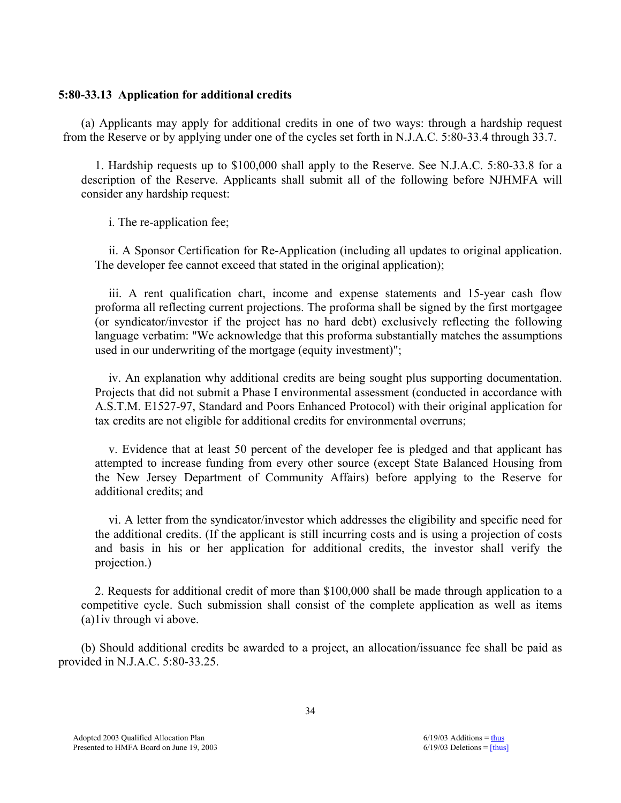## **5:80-33.13 Application for additional credits**

 (a) Applicants may apply for additional credits in one of two ways: through a hardship request from the Reserve or by applying under one of the cycles set forth in N.J.A.C. 5:80-33.4 through 33.7.

1. Hardship requests up to \$100,000 shall apply to the Reserve. See N.J.A.C. 5:80-33.8 for a description of the Reserve. Applicants shall submit all of the following before NJHMFA will consider any hardship request:

i. The re-application fee;

ii. A Sponsor Certification for Re-Application (including all updates to original application. The developer fee cannot exceed that stated in the original application);

iii. A rent qualification chart, income and expense statements and 15-year cash flow proforma all reflecting current projections. The proforma shall be signed by the first mortgagee (or syndicator/investor if the project has no hard debt) exclusively reflecting the following language verbatim: "We acknowledge that this proforma substantially matches the assumptions used in our underwriting of the mortgage (equity investment)";

iv. An explanation why additional credits are being sought plus supporting documentation. Projects that did not submit a Phase I environmental assessment (conducted in accordance with A.S.T.M. E1527-97, Standard and Poors Enhanced Protocol) with their original application for tax credits are not eligible for additional credits for environmental overruns;

v. Evidence that at least 50 percent of the developer fee is pledged and that applicant has attempted to increase funding from every other source (except State Balanced Housing from the New Jersey Department of Community Affairs) before applying to the Reserve for additional credits; and

vi. A letter from the syndicator/investor which addresses the eligibility and specific need for the additional credits. (If the applicant is still incurring costs and is using a projection of costs and basis in his or her application for additional credits, the investor shall verify the projection.)

2. Requests for additional credit of more than \$100,000 shall be made through application to a competitive cycle. Such submission shall consist of the complete application as well as items (a)1iv through vi above.

 (b) Should additional credits be awarded to a project, an allocation/issuance fee shall be paid as provided in N.J.A.C. 5:80-33.25.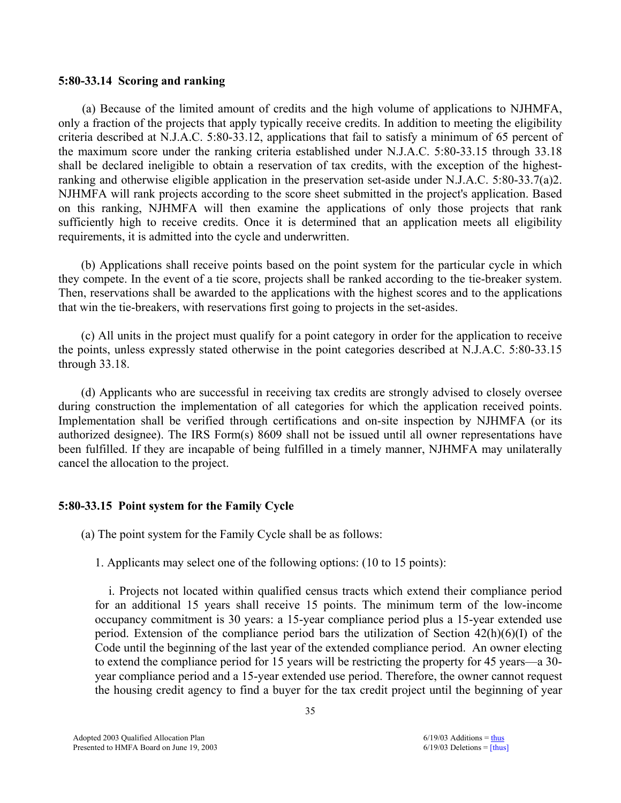#### **5:80-33.14 Scoring and ranking**

 (a) Because of the limited amount of credits and the high volume of applications to NJHMFA, only a fraction of the projects that apply typically receive credits. In addition to meeting the eligibility criteria described at N.J.A.C. 5:80-33.12, applications that fail to satisfy a minimum of 65 percent of the maximum score under the ranking criteria established under N.J.A.C. 5:80-33.15 through 33.18 shall be declared ineligible to obtain a reservation of tax credits, with the exception of the highestranking and otherwise eligible application in the preservation set-aside under N.J.A.C. 5:80-33.7(a)2. NJHMFA will rank projects according to the score sheet submitted in the project's application. Based on this ranking, NJHMFA will then examine the applications of only those projects that rank sufficiently high to receive credits. Once it is determined that an application meets all eligibility requirements, it is admitted into the cycle and underwritten.

 (b) Applications shall receive points based on the point system for the particular cycle in which they compete. In the event of a tie score, projects shall be ranked according to the tie-breaker system. Then, reservations shall be awarded to the applications with the highest scores and to the applications that win the tie-breakers, with reservations first going to projects in the set-asides.

 (c) All units in the project must qualify for a point category in order for the application to receive the points, unless expressly stated otherwise in the point categories described at N.J.A.C. 5:80-33.15 through 33.18.

 (d) Applicants who are successful in receiving tax credits are strongly advised to closely oversee during construction the implementation of all categories for which the application received points. Implementation shall be verified through certifications and on-site inspection by NJHMFA (or its authorized designee). The IRS Form(s) 8609 shall not be issued until all owner representations have been fulfilled. If they are incapable of being fulfilled in a timely manner, NJHMFA may unilaterally cancel the allocation to the project.

# **5:80-33.15 Point system for the Family Cycle**

(a) The point system for the Family Cycle shall be as follows:

1. Applicants may select one of the following options: (10 to 15 points):

i. Projects not located within qualified census tracts which extend their compliance period for an additional 15 years shall receive 15 points. The minimum term of the low-income occupancy commitment is 30 years: a 15-year compliance period plus a 15-year extended use period. Extension of the compliance period bars the utilization of Section 42(h)(6)(I) of the Code until the beginning of the last year of the extended compliance period. An owner electing to extend the compliance period for 15 years will be restricting the property for 45 years—a 30 year compliance period and a 15-year extended use period. Therefore, the owner cannot request the housing credit agency to find a buyer for the tax credit project until the beginning of year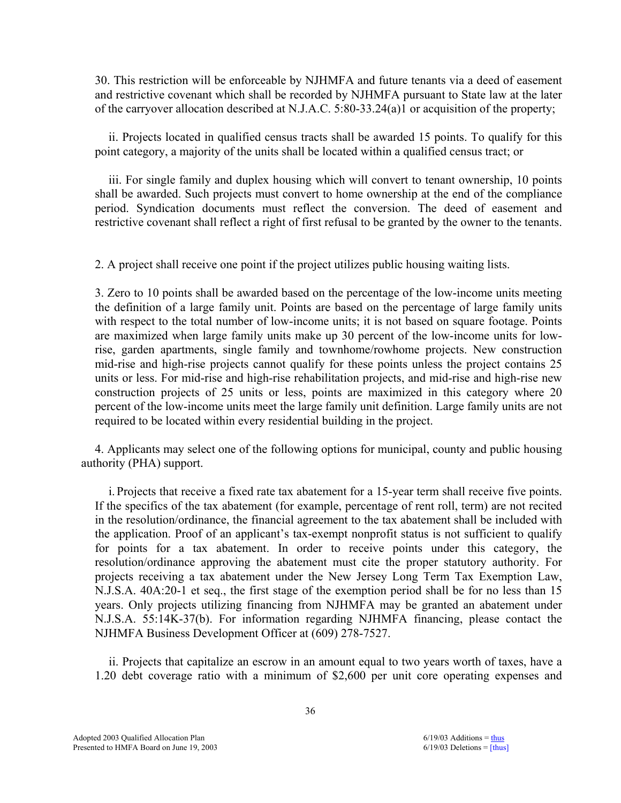30. This restriction will be enforceable by NJHMFA and future tenants via a deed of easement and restrictive covenant which shall be recorded by NJHMFA pursuant to State law at the later of the carryover allocation described at N.J.A.C. 5:80-33.24(a)1 or acquisition of the property;

ii. Projects located in qualified census tracts shall be awarded 15 points. To qualify for this point category, a majority of the units shall be located within a qualified census tract; or

iii. For single family and duplex housing which will convert to tenant ownership, 10 points shall be awarded. Such projects must convert to home ownership at the end of the compliance period. Syndication documents must reflect the conversion. The deed of easement and restrictive covenant shall reflect a right of first refusal to be granted by the owner to the tenants.

2. A project shall receive one point if the project utilizes public housing waiting lists.

3. Zero to 10 points shall be awarded based on the percentage of the low-income units meeting the definition of a large family unit. Points are based on the percentage of large family units with respect to the total number of low-income units; it is not based on square footage. Points are maximized when large family units make up 30 percent of the low-income units for lowrise, garden apartments, single family and townhome/rowhome projects. New construction mid-rise and high-rise projects cannot qualify for these points unless the project contains 25 units or less. For mid-rise and high-rise rehabilitation projects, and mid-rise and high-rise new construction projects of 25 units or less, points are maximized in this category where 20 percent of the low-income units meet the large family unit definition. Large family units are not required to be located within every residential building in the project.

4. Applicants may select one of the following options for municipal, county and public housing authority (PHA) support.

i. Projects that receive a fixed rate tax abatement for a 15-year term shall receive five points. If the specifics of the tax abatement (for example, percentage of rent roll, term) are not recited in the resolution/ordinance, the financial agreement to the tax abatement shall be included with the application. Proof of an applicant's tax-exempt nonprofit status is not sufficient to qualify for points for a tax abatement. In order to receive points under this category, the resolution/ordinance approving the abatement must cite the proper statutory authority. For projects receiving a tax abatement under the New Jersey Long Term Tax Exemption Law, N.J.S.A. 40A:20-1 et seq., the first stage of the exemption period shall be for no less than 15 years. Only projects utilizing financing from NJHMFA may be granted an abatement under N.J.S.A. 55:14K-37(b). For information regarding NJHMFA financing, please contact the NJHMFA Business Development Officer at (609) 278-7527.

ii. Projects that capitalize an escrow in an amount equal to two years worth of taxes, have a 1.20 debt coverage ratio with a minimum of \$2,600 per unit core operating expenses and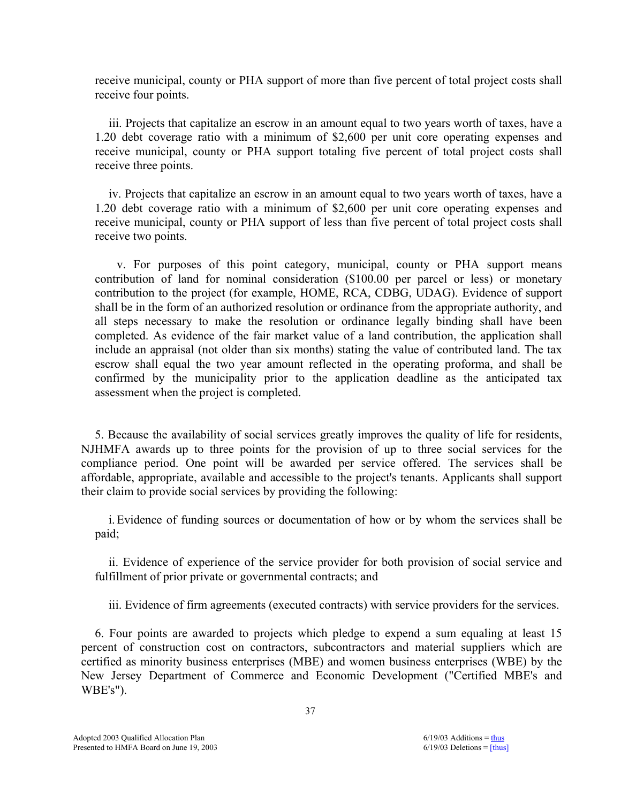receive municipal, county or PHA support of more than five percent of total project costs shall receive four points.

iii. Projects that capitalize an escrow in an amount equal to two years worth of taxes, have a 1.20 debt coverage ratio with a minimum of \$2,600 per unit core operating expenses and receive municipal, county or PHA support totaling five percent of total project costs shall receive three points.

iv. Projects that capitalize an escrow in an amount equal to two years worth of taxes, have a 1.20 debt coverage ratio with a minimum of \$2,600 per unit core operating expenses and receive municipal, county or PHA support of less than five percent of total project costs shall receive two points.

 v. For purposes of this point category, municipal, county or PHA support means contribution of land for nominal consideration (\$100.00 per parcel or less) or monetary contribution to the project (for example, HOME, RCA, CDBG, UDAG). Evidence of support shall be in the form of an authorized resolution or ordinance from the appropriate authority, and all steps necessary to make the resolution or ordinance legally binding shall have been completed. As evidence of the fair market value of a land contribution, the application shall include an appraisal (not older than six months) stating the value of contributed land. The tax escrow shall equal the two year amount reflected in the operating proforma, and shall be confirmed by the municipality prior to the application deadline as the anticipated tax assessment when the project is completed.

5. Because the availability of social services greatly improves the quality of life for residents, NJHMFA awards up to three points for the provision of up to three social services for the compliance period. One point will be awarded per service offered. The services shall be affordable, appropriate, available and accessible to the project's tenants. Applicants shall support their claim to provide social services by providing the following:

i. Evidence of funding sources or documentation of how or by whom the services shall be paid;

ii. Evidence of experience of the service provider for both provision of social service and fulfillment of prior private or governmental contracts; and

iii. Evidence of firm agreements (executed contracts) with service providers for the services.

6. Four points are awarded to projects which pledge to expend a sum equaling at least 15 percent of construction cost on contractors, subcontractors and material suppliers which are certified as minority business enterprises (MBE) and women business enterprises (WBE) by the New Jersey Department of Commerce and Economic Development ("Certified MBE's and WBE's").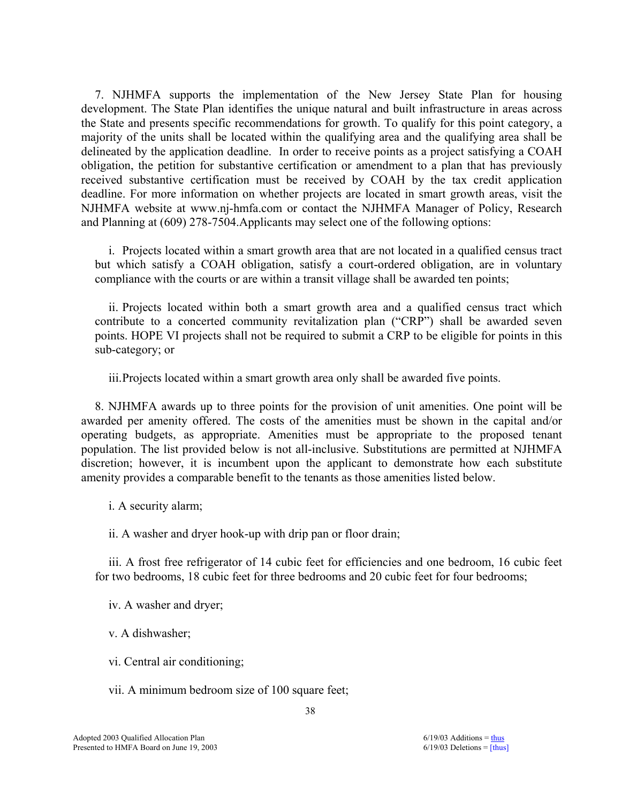7. NJHMFA supports the implementation of the New Jersey State Plan for housing development. The State Plan identifies the unique natural and built infrastructure in areas across the State and presents specific recommendations for growth. To qualify for this point category, a majority of the units shall be located within the qualifying area and the qualifying area shall be delineated by the application deadline. In order to receive points as a project satisfying a COAH obligation, the petition for substantive certification or amendment to a plan that has previously received substantive certification must be received by COAH by the tax credit application deadline. For more information on whether projects are located in smart growth areas, visit the NJHMFA website at www.nj-hmfa.com or contact the NJHMFA Manager of Policy, Research and Planning at (609) 278-7504.Applicants may select one of the following options:

i. Projects located within a smart growth area that are not located in a qualified census tract but which satisfy a COAH obligation, satisfy a court-ordered obligation, are in voluntary compliance with the courts or are within a transit village shall be awarded ten points;

ii. Projects located within both a smart growth area and a qualified census tract which contribute to a concerted community revitalization plan ("CRP") shall be awarded seven points. HOPE VI projects shall not be required to submit a CRP to be eligible for points in this sub-category; or

iii. Projects located within a smart growth area only shall be awarded five points.

8. NJHMFA awards up to three points for the provision of unit amenities. One point will be awarded per amenity offered. The costs of the amenities must be shown in the capital and/or operating budgets, as appropriate. Amenities must be appropriate to the proposed tenant population. The list provided below is not all-inclusive. Substitutions are permitted at NJHMFA discretion; however, it is incumbent upon the applicant to demonstrate how each substitute amenity provides a comparable benefit to the tenants as those amenities listed below.

i. A security alarm;

ii. A washer and dryer hook-up with drip pan or floor drain;

iii. A frost free refrigerator of 14 cubic feet for efficiencies and one bedroom, 16 cubic feet for two bedrooms, 18 cubic feet for three bedrooms and 20 cubic feet for four bedrooms;

iv. A washer and dryer;

v. A dishwasher;

vi. Central air conditioning;

vii. A minimum bedroom size of 100 square feet;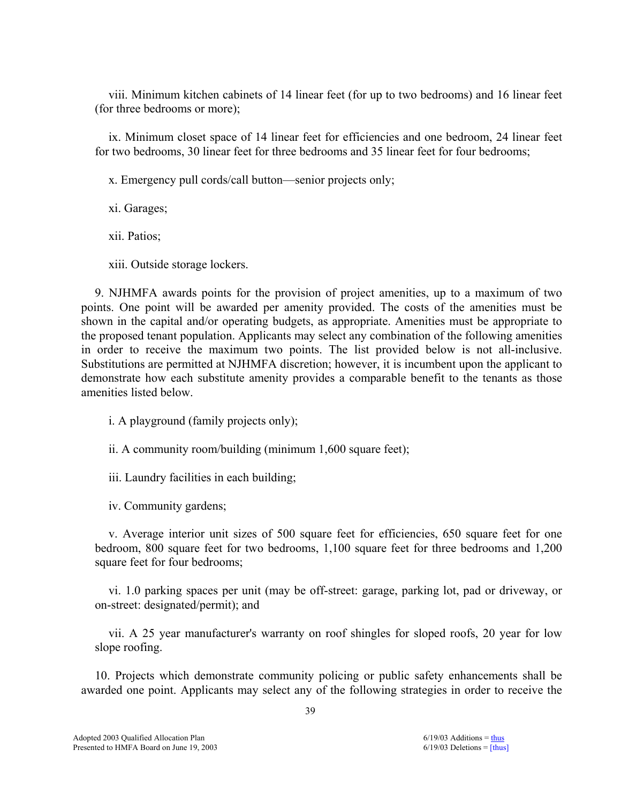viii. Minimum kitchen cabinets of 14 linear feet (for up to two bedrooms) and 16 linear feet (for three bedrooms or more);

ix. Minimum closet space of 14 linear feet for efficiencies and one bedroom, 24 linear feet for two bedrooms, 30 linear feet for three bedrooms and 35 linear feet for four bedrooms;

x. Emergency pull cords/call button—senior projects only;

xi. Garages;

xii. Patios;

xiii. Outside storage lockers.

9. NJHMFA awards points for the provision of project amenities, up to a maximum of two points. One point will be awarded per amenity provided. The costs of the amenities must be shown in the capital and/or operating budgets, as appropriate. Amenities must be appropriate to the proposed tenant population. Applicants may select any combination of the following amenities in order to receive the maximum two points. The list provided below is not all-inclusive. Substitutions are permitted at NJHMFA discretion; however, it is incumbent upon the applicant to demonstrate how each substitute amenity provides a comparable benefit to the tenants as those amenities listed below.

i. A playground (family projects only);

ii. A community room/building (minimum 1,600 square feet);

iii. Laundry facilities in each building;

iv. Community gardens;

v. Average interior unit sizes of 500 square feet for efficiencies, 650 square feet for one bedroom, 800 square feet for two bedrooms, 1,100 square feet for three bedrooms and 1,200 square feet for four bedrooms;

vi. 1.0 parking spaces per unit (may be off-street: garage, parking lot, pad or driveway, or on-street: designated/permit); and

vii. A 25 year manufacturer's warranty on roof shingles for sloped roofs, 20 year for low slope roofing.

10. Projects which demonstrate community policing or public safety enhancements shall be awarded one point. Applicants may select any of the following strategies in order to receive the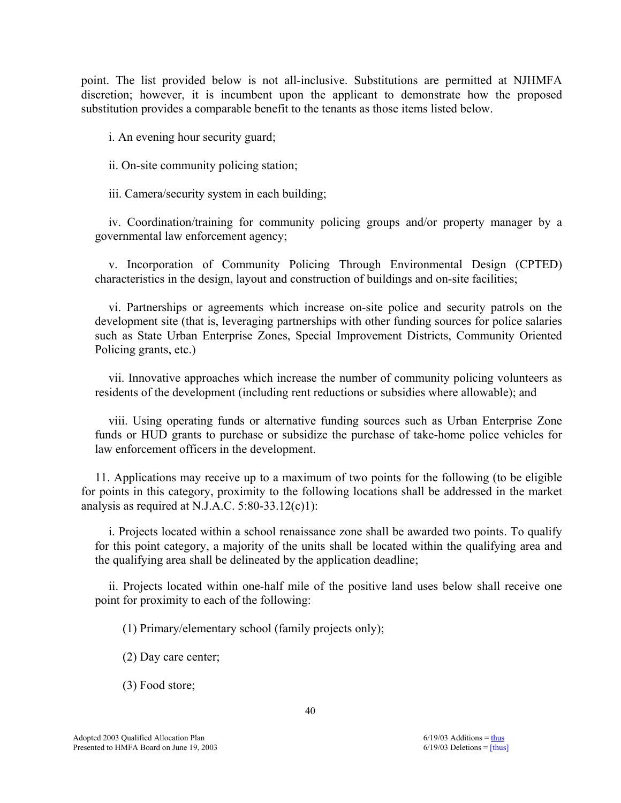point. The list provided below is not all-inclusive. Substitutions are permitted at NJHMFA discretion; however, it is incumbent upon the applicant to demonstrate how the proposed substitution provides a comparable benefit to the tenants as those items listed below.

i. An evening hour security guard;

ii. On-site community policing station;

iii. Camera/security system in each building;

iv. Coordination/training for community policing groups and/or property manager by a governmental law enforcement agency;

v. Incorporation of Community Policing Through Environmental Design (CPTED) characteristics in the design, layout and construction of buildings and on-site facilities;

vi. Partnerships or agreements which increase on-site police and security patrols on the development site (that is, leveraging partnerships with other funding sources for police salaries such as State Urban Enterprise Zones, Special Improvement Districts, Community Oriented Policing grants, etc.)

vii. Innovative approaches which increase the number of community policing volunteers as residents of the development (including rent reductions or subsidies where allowable); and

viii. Using operating funds or alternative funding sources such as Urban Enterprise Zone funds or HUD grants to purchase or subsidize the purchase of take-home police vehicles for law enforcement officers in the development.

11. Applications may receive up to a maximum of two points for the following (to be eligible for points in this category, proximity to the following locations shall be addressed in the market analysis as required at N.J.A.C. 5:80-33.12(c)1):

i. Projects located within a school renaissance zone shall be awarded two points. To qualify for this point category, a majority of the units shall be located within the qualifying area and the qualifying area shall be delineated by the application deadline;

ii. Projects located within one-half mile of the positive land uses below shall receive one point for proximity to each of the following:

(1) Primary/elementary school (family projects only);

(2) Day care center;

(3) Food store;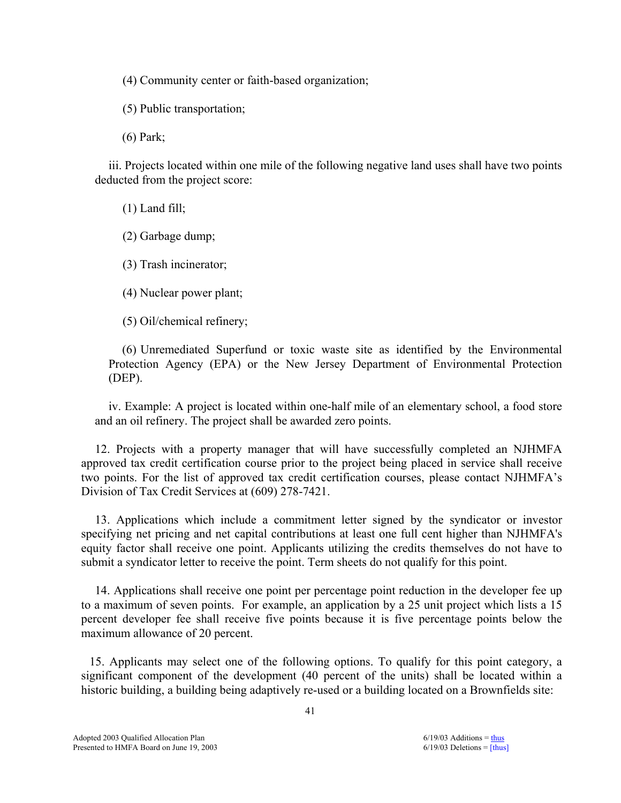(4) Community center or faith-based organization;

(5) Public transportation;

(6) Park;

iii. Projects located within one mile of the following negative land uses shall have two points deducted from the project score:

(1) Land fill;

(2) Garbage dump;

(3) Trash incinerator;

(4) Nuclear power plant;

(5) Oil/chemical refinery;

(6) Unremediated Superfund or toxic waste site as identified by the Environmental Protection Agency (EPA) or the New Jersey Department of Environmental Protection (DEP).

iv. Example: A project is located within one-half mile of an elementary school, a food store and an oil refinery. The project shall be awarded zero points.

12. Projects with a property manager that will have successfully completed an NJHMFA approved tax credit certification course prior to the project being placed in service shall receive two points. For the list of approved tax credit certification courses, please contact NJHMFA's Division of Tax Credit Services at (609) 278-7421.

13. Applications which include a commitment letter signed by the syndicator or investor specifying net pricing and net capital contributions at least one full cent higher than NJHMFA's equity factor shall receive one point. Applicants utilizing the credits themselves do not have to submit a syndicator letter to receive the point. Term sheets do not qualify for this point.

14. Applications shall receive one point per percentage point reduction in the developer fee up to a maximum of seven points. For example, an application by a 25 unit project which lists a 15 percent developer fee shall receive five points because it is five percentage points below the maximum allowance of 20 percent.

 15. Applicants may select one of the following options. To qualify for this point category, a significant component of the development (40 percent of the units) shall be located within a historic building, a building being adaptively re-used or a building located on a Brownfields site: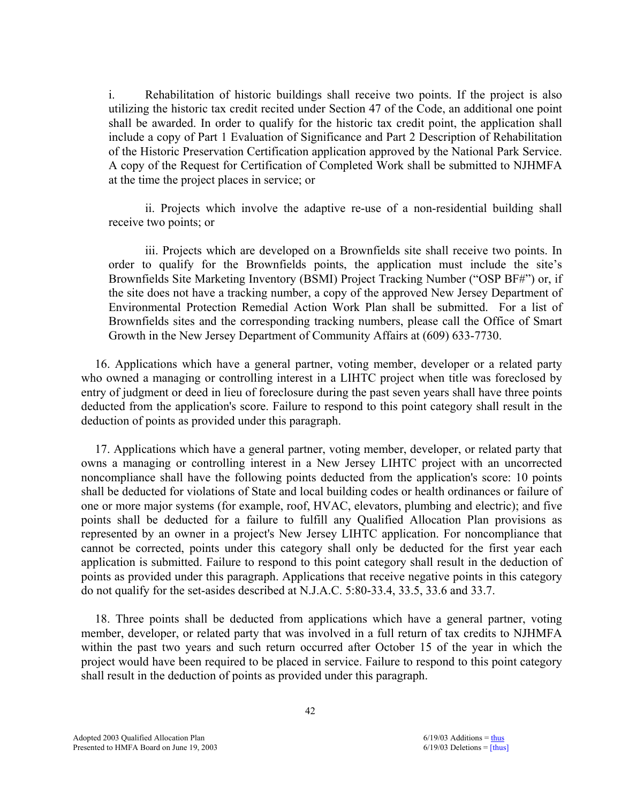i. Rehabilitation of historic buildings shall receive two points. If the project is also utilizing the historic tax credit recited under Section 47 of the Code, an additional one point shall be awarded. In order to qualify for the historic tax credit point, the application shall include a copy of Part 1 Evaluation of Significance and Part 2 Description of Rehabilitation of the Historic Preservation Certification application approved by the National Park Service. A copy of the Request for Certification of Completed Work shall be submitted to NJHMFA at the time the project places in service; or

 ii. Projects which involve the adaptive re-use of a non-residential building shall receive two points; or

 iii. Projects which are developed on a Brownfields site shall receive two points. In order to qualify for the Brownfields points, the application must include the site's Brownfields Site Marketing Inventory (BSMI) Project Tracking Number ("OSP BF#") or, if the site does not have a tracking number, a copy of the approved New Jersey Department of Environmental Protection Remedial Action Work Plan shall be submitted. For a list of Brownfields sites and the corresponding tracking numbers, please call the Office of Smart Growth in the New Jersey Department of Community Affairs at (609) 633-7730.

16. Applications which have a general partner, voting member, developer or a related party who owned a managing or controlling interest in a LIHTC project when title was foreclosed by entry of judgment or deed in lieu of foreclosure during the past seven years shall have three points deducted from the application's score. Failure to respond to this point category shall result in the deduction of points as provided under this paragraph.

17. Applications which have a general partner, voting member, developer, or related party that owns a managing or controlling interest in a New Jersey LIHTC project with an uncorrected noncompliance shall have the following points deducted from the application's score: 10 points shall be deducted for violations of State and local building codes or health ordinances or failure of one or more major systems (for example, roof, HVAC, elevators, plumbing and electric); and five points shall be deducted for a failure to fulfill any Qualified Allocation Plan provisions as represented by an owner in a project's New Jersey LIHTC application. For noncompliance that cannot be corrected, points under this category shall only be deducted for the first year each application is submitted. Failure to respond to this point category shall result in the deduction of points as provided under this paragraph. Applications that receive negative points in this category do not qualify for the set-asides described at N.J.A.C. 5:80-33.4, 33.5, 33.6 and 33.7.

18. Three points shall be deducted from applications which have a general partner, voting member, developer, or related party that was involved in a full return of tax credits to NJHMFA within the past two years and such return occurred after October 15 of the year in which the project would have been required to be placed in service. Failure to respond to this point category shall result in the deduction of points as provided under this paragraph.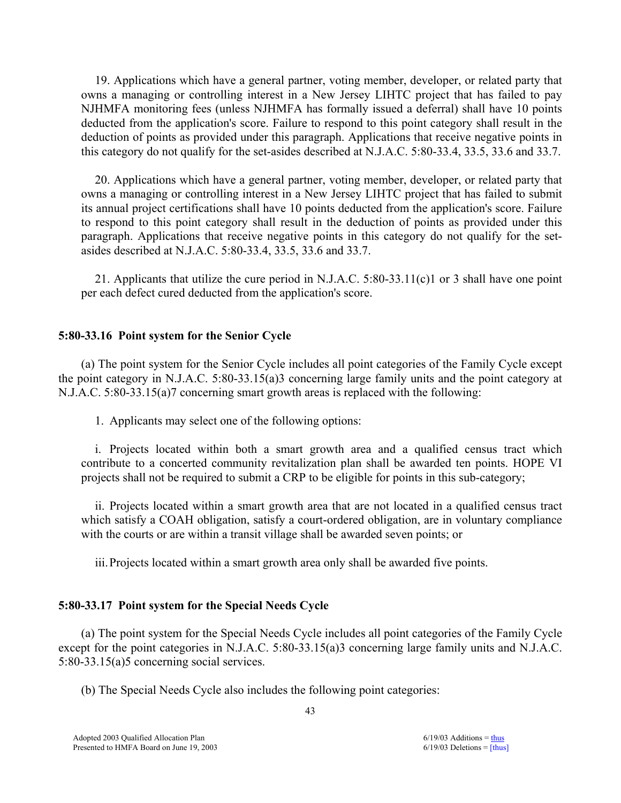19. Applications which have a general partner, voting member, developer, or related party that owns a managing or controlling interest in a New Jersey LIHTC project that has failed to pay NJHMFA monitoring fees (unless NJHMFA has formally issued a deferral) shall have 10 points deducted from the application's score. Failure to respond to this point category shall result in the deduction of points as provided under this paragraph. Applications that receive negative points in this category do not qualify for the set-asides described at N.J.A.C. 5:80-33.4, 33.5, 33.6 and 33.7.

20. Applications which have a general partner, voting member, developer, or related party that owns a managing or controlling interest in a New Jersey LIHTC project that has failed to submit its annual project certifications shall have 10 points deducted from the application's score. Failure to respond to this point category shall result in the deduction of points as provided under this paragraph. Applications that receive negative points in this category do not qualify for the setasides described at N.J.A.C. 5:80-33.4, 33.5, 33.6 and 33.7.

21. Applicants that utilize the cure period in N.J.A.C. 5:80-33.11(c)1 or 3 shall have one point per each defect cured deducted from the application's score.

### **5:80-33.16 Point system for the Senior Cycle**

(a) The point system for the Senior Cycle includes all point categories of the Family Cycle except the point category in N.J.A.C. 5:80-33.15(a)3 concerning large family units and the point category at N.J.A.C. 5:80-33.15(a)7 concerning smart growth areas is replaced with the following:

1. Applicants may select one of the following options:

i. Projects located within both a smart growth area and a qualified census tract which contribute to a concerted community revitalization plan shall be awarded ten points. HOPE VI projects shall not be required to submit a CRP to be eligible for points in this sub-category;

ii. Projects located within a smart growth area that are not located in a qualified census tract which satisfy a COAH obligation, satisfy a court-ordered obligation, are in voluntary compliance with the courts or are within a transit village shall be awarded seven points; or

iii. Projects located within a smart growth area only shall be awarded five points.

### **5:80-33.17 Point system for the Special Needs Cycle**

 (a) The point system for the Special Needs Cycle includes all point categories of the Family Cycle except for the point categories in N.J.A.C. 5:80-33.15(a)3 concerning large family units and N.J.A.C. 5:80-33.15(a)5 concerning social services.

(b) The Special Needs Cycle also includes the following point categories: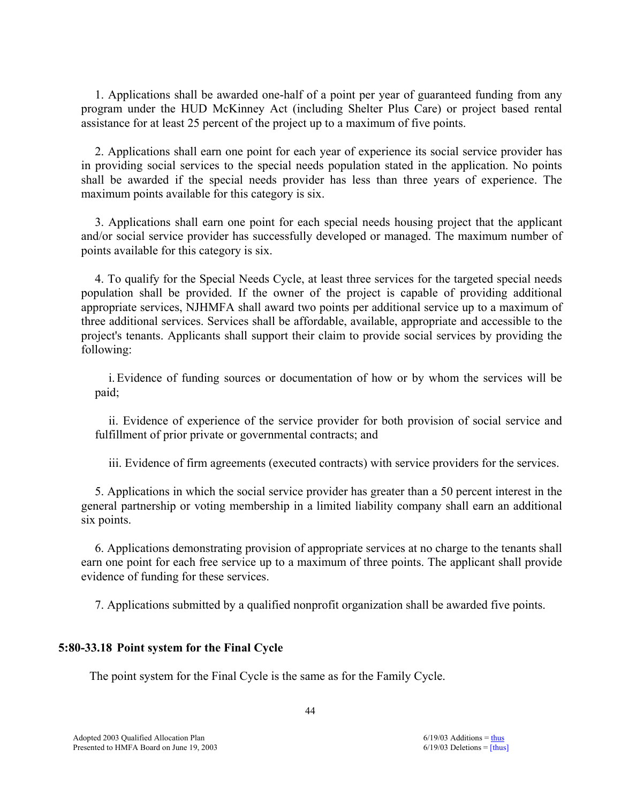1. Applications shall be awarded one-half of a point per year of guaranteed funding from any program under the HUD McKinney Act (including Shelter Plus Care) or project based rental assistance for at least 25 percent of the project up to a maximum of five points.

2. Applications shall earn one point for each year of experience its social service provider has in providing social services to the special needs population stated in the application. No points shall be awarded if the special needs provider has less than three years of experience. The maximum points available for this category is six.

3. Applications shall earn one point for each special needs housing project that the applicant and/or social service provider has successfully developed or managed. The maximum number of points available for this category is six.

4. To qualify for the Special Needs Cycle, at least three services for the targeted special needs population shall be provided. If the owner of the project is capable of providing additional appropriate services, NJHMFA shall award two points per additional service up to a maximum of three additional services. Services shall be affordable, available, appropriate and accessible to the project's tenants. Applicants shall support their claim to provide social services by providing the following:

i. Evidence of funding sources or documentation of how or by whom the services will be paid;

ii. Evidence of experience of the service provider for both provision of social service and fulfillment of prior private or governmental contracts; and

iii. Evidence of firm agreements (executed contracts) with service providers for the services.

5. Applications in which the social service provider has greater than a 50 percent interest in the general partnership or voting membership in a limited liability company shall earn an additional six points.

6. Applications demonstrating provision of appropriate services at no charge to the tenants shall earn one point for each free service up to a maximum of three points. The applicant shall provide evidence of funding for these services.

7. Applications submitted by a qualified nonprofit organization shall be awarded five points.

# **5:80-33.18 Point system for the Final Cycle**

The point system for the Final Cycle is the same as for the Family Cycle.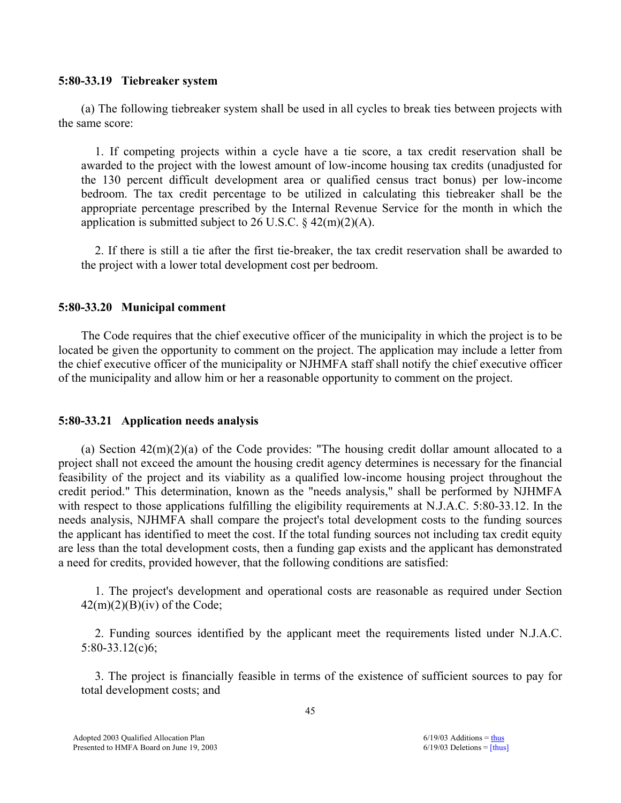### **5:80-33.19 Tiebreaker system**

 (a) The following tiebreaker system shall be used in all cycles to break ties between projects with the same score:

1. If competing projects within a cycle have a tie score, a tax credit reservation shall be awarded to the project with the lowest amount of low-income housing tax credits (unadjusted for the 130 percent difficult development area or qualified census tract bonus) per low-income bedroom. The tax credit percentage to be utilized in calculating this tiebreaker shall be the appropriate percentage prescribed by the Internal Revenue Service for the month in which the application is submitted subject to 26 U.S.C.  $\S$  42(m)(2)(A).

2. If there is still a tie after the first tie-breaker, the tax credit reservation shall be awarded to the project with a lower total development cost per bedroom.

### **5:80-33.20 Municipal comment**

 The Code requires that the chief executive officer of the municipality in which the project is to be located be given the opportunity to comment on the project. The application may include a letter from the chief executive officer of the municipality or NJHMFA staff shall notify the chief executive officer of the municipality and allow him or her a reasonable opportunity to comment on the project.

# **5:80-33.21 Application needs analysis**

(a) Section  $42(m)(2)(a)$  of the Code provides: "The housing credit dollar amount allocated to a project shall not exceed the amount the housing credit agency determines is necessary for the financial feasibility of the project and its viability as a qualified low-income housing project throughout the credit period." This determination, known as the "needs analysis," shall be performed by NJHMFA with respect to those applications fulfilling the eligibility requirements at N.J.A.C. 5:80-33.12. In the needs analysis, NJHMFA shall compare the project's total development costs to the funding sources the applicant has identified to meet the cost. If the total funding sources not including tax credit equity are less than the total development costs, then a funding gap exists and the applicant has demonstrated a need for credits, provided however, that the following conditions are satisfied:

1. The project's development and operational costs are reasonable as required under Section  $42(m)(2)(B)(iv)$  of the Code;

2. Funding sources identified by the applicant meet the requirements listed under N.J.A.C. 5:80-33.12(c)6;

3. The project is financially feasible in terms of the existence of sufficient sources to pay for total development costs; and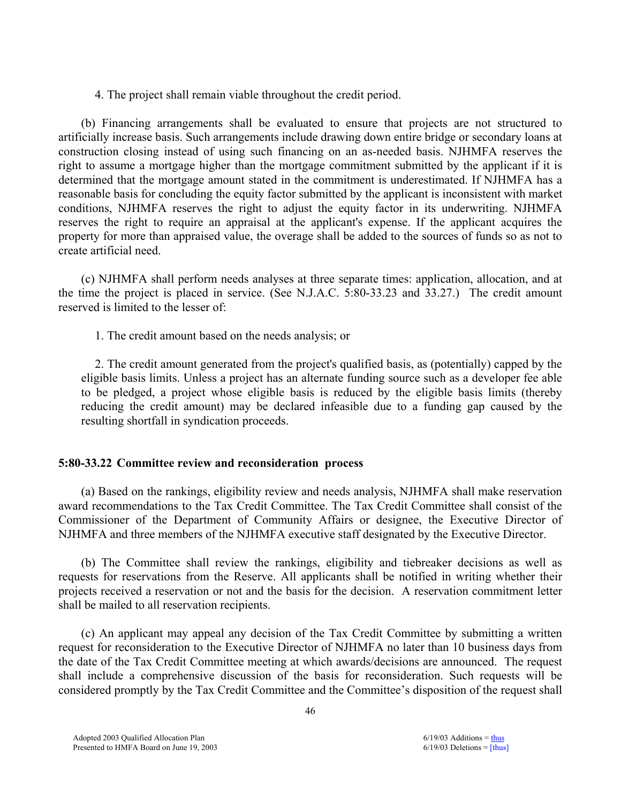4. The project shall remain viable throughout the credit period.

 (b) Financing arrangements shall be evaluated to ensure that projects are not structured to artificially increase basis. Such arrangements include drawing down entire bridge or secondary loans at construction closing instead of using such financing on an as-needed basis. NJHMFA reserves the right to assume a mortgage higher than the mortgage commitment submitted by the applicant if it is determined that the mortgage amount stated in the commitment is underestimated. If NJHMFA has a reasonable basis for concluding the equity factor submitted by the applicant is inconsistent with market conditions, NJHMFA reserves the right to adjust the equity factor in its underwriting. NJHMFA reserves the right to require an appraisal at the applicant's expense. If the applicant acquires the property for more than appraised value, the overage shall be added to the sources of funds so as not to create artificial need.

 (c) NJHMFA shall perform needs analyses at three separate times: application, allocation, and at the time the project is placed in service. (See N.J.A.C. 5:80-33.23 and 33.27.) The credit amount reserved is limited to the lesser of:

1. The credit amount based on the needs analysis; or

2. The credit amount generated from the project's qualified basis, as (potentially) capped by the eligible basis limits. Unless a project has an alternate funding source such as a developer fee able to be pledged, a project whose eligible basis is reduced by the eligible basis limits (thereby reducing the credit amount) may be declared infeasible due to a funding gap caused by the resulting shortfall in syndication proceeds.

# **5:80-33.22 Committee review and reconsideration process**

 (a) Based on the rankings, eligibility review and needs analysis, NJHMFA shall make reservation award recommendations to the Tax Credit Committee. The Tax Credit Committee shall consist of the Commissioner of the Department of Community Affairs or designee, the Executive Director of NJHMFA and three members of the NJHMFA executive staff designated by the Executive Director.

 (b) The Committee shall review the rankings, eligibility and tiebreaker decisions as well as requests for reservations from the Reserve. All applicants shall be notified in writing whether their projects received a reservation or not and the basis for the decision. A reservation commitment letter shall be mailed to all reservation recipients.

 (c) An applicant may appeal any decision of the Tax Credit Committee by submitting a written request for reconsideration to the Executive Director of NJHMFA no later than 10 business days from the date of the Tax Credit Committee meeting at which awards/decisions are announced. The request shall include a comprehensive discussion of the basis for reconsideration. Such requests will be considered promptly by the Tax Credit Committee and the Committee's disposition of the request shall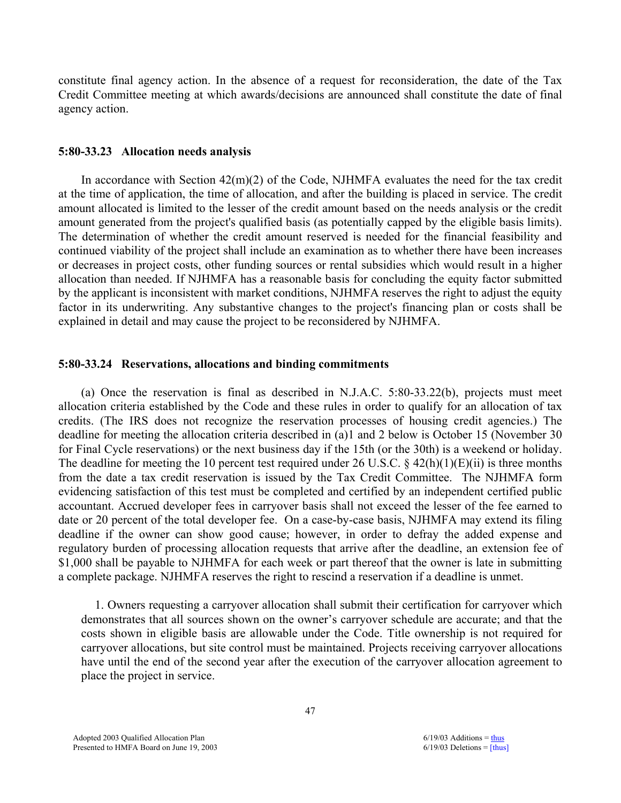constitute final agency action. In the absence of a request for reconsideration, the date of the Tax Credit Committee meeting at which awards/decisions are announced shall constitute the date of final agency action.

#### **5:80-33.23 Allocation needs analysis**

In accordance with Section  $42(m)(2)$  of the Code, NJHMFA evaluates the need for the tax credit at the time of application, the time of allocation, and after the building is placed in service. The credit amount allocated is limited to the lesser of the credit amount based on the needs analysis or the credit amount generated from the project's qualified basis (as potentially capped by the eligible basis limits). The determination of whether the credit amount reserved is needed for the financial feasibility and continued viability of the project shall include an examination as to whether there have been increases or decreases in project costs, other funding sources or rental subsidies which would result in a higher allocation than needed. If NJHMFA has a reasonable basis for concluding the equity factor submitted by the applicant is inconsistent with market conditions, NJHMFA reserves the right to adjust the equity factor in its underwriting. Any substantive changes to the project's financing plan or costs shall be explained in detail and may cause the project to be reconsidered by NJHMFA.

#### **5:80-33.24 Reservations, allocations and binding commitments**

 (a) Once the reservation is final as described in N.J.A.C. 5:80-33.22(b), projects must meet allocation criteria established by the Code and these rules in order to qualify for an allocation of tax credits. (The IRS does not recognize the reservation processes of housing credit agencies.) The deadline for meeting the allocation criteria described in (a)1 and 2 below is October 15 (November 30 for Final Cycle reservations) or the next business day if the 15th (or the 30th) is a weekend or holiday. The deadline for meeting the 10 percent test required under 26 U.S.C.  $\S$  42(h)(1)(E)(ii) is three months from the date a tax credit reservation is issued by the Tax Credit Committee. The NJHMFA form evidencing satisfaction of this test must be completed and certified by an independent certified public accountant. Accrued developer fees in carryover basis shall not exceed the lesser of the fee earned to date or 20 percent of the total developer fee. On a case-by-case basis, NJHMFA may extend its filing deadline if the owner can show good cause; however, in order to defray the added expense and regulatory burden of processing allocation requests that arrive after the deadline, an extension fee of \$1,000 shall be payable to NJHMFA for each week or part thereof that the owner is late in submitting a complete package. NJHMFA reserves the right to rescind a reservation if a deadline is unmet.

1. Owners requesting a carryover allocation shall submit their certification for carryover which demonstrates that all sources shown on the owner's carryover schedule are accurate; and that the costs shown in eligible basis are allowable under the Code. Title ownership is not required for carryover allocations, but site control must be maintained. Projects receiving carryover allocations have until the end of the second year after the execution of the carryover allocation agreement to place the project in service.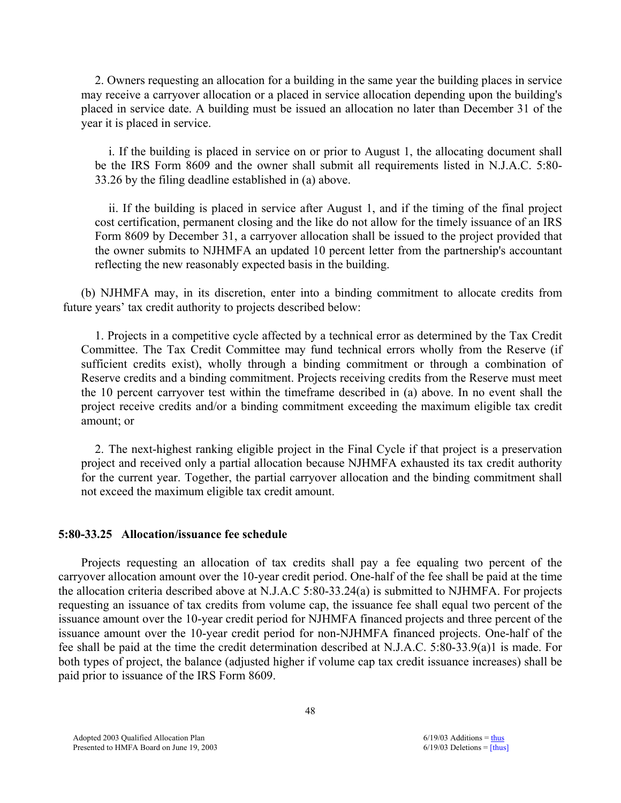2. Owners requesting an allocation for a building in the same year the building places in service may receive a carryover allocation or a placed in service allocation depending upon the building's placed in service date. A building must be issued an allocation no later than December 31 of the year it is placed in service.

i. If the building is placed in service on or prior to August 1, the allocating document shall be the IRS Form 8609 and the owner shall submit all requirements listed in N.J.A.C. 5:80- 33.26 by the filing deadline established in (a) above.

ii. If the building is placed in service after August 1, and if the timing of the final project cost certification, permanent closing and the like do not allow for the timely issuance of an IRS Form 8609 by December 31, a carryover allocation shall be issued to the project provided that the owner submits to NJHMFA an updated 10 percent letter from the partnership's accountant reflecting the new reasonably expected basis in the building.

 (b) NJHMFA may, in its discretion, enter into a binding commitment to allocate credits from future years' tax credit authority to projects described below:

1. Projects in a competitive cycle affected by a technical error as determined by the Tax Credit Committee. The Tax Credit Committee may fund technical errors wholly from the Reserve (if sufficient credits exist), wholly through a binding commitment or through a combination of Reserve credits and a binding commitment. Projects receiving credits from the Reserve must meet the 10 percent carryover test within the timeframe described in (a) above. In no event shall the project receive credits and/or a binding commitment exceeding the maximum eligible tax credit amount; or

2. The next-highest ranking eligible project in the Final Cycle if that project is a preservation project and received only a partial allocation because NJHMFA exhausted its tax credit authority for the current year. Together, the partial carryover allocation and the binding commitment shall not exceed the maximum eligible tax credit amount.

#### **5:80-33.25 Allocation/issuance fee schedule**

 Projects requesting an allocation of tax credits shall pay a fee equaling two percent of the carryover allocation amount over the 10-year credit period. One-half of the fee shall be paid at the time the allocation criteria described above at N.J.A.C 5:80-33.24(a) is submitted to NJHMFA. For projects requesting an issuance of tax credits from volume cap, the issuance fee shall equal two percent of the issuance amount over the 10-year credit period for NJHMFA financed projects and three percent of the issuance amount over the 10-year credit period for non-NJHMFA financed projects. One-half of the fee shall be paid at the time the credit determination described at N.J.A.C. 5:80-33.9(a)1 is made. For both types of project, the balance (adjusted higher if volume cap tax credit issuance increases) shall be paid prior to issuance of the IRS Form 8609.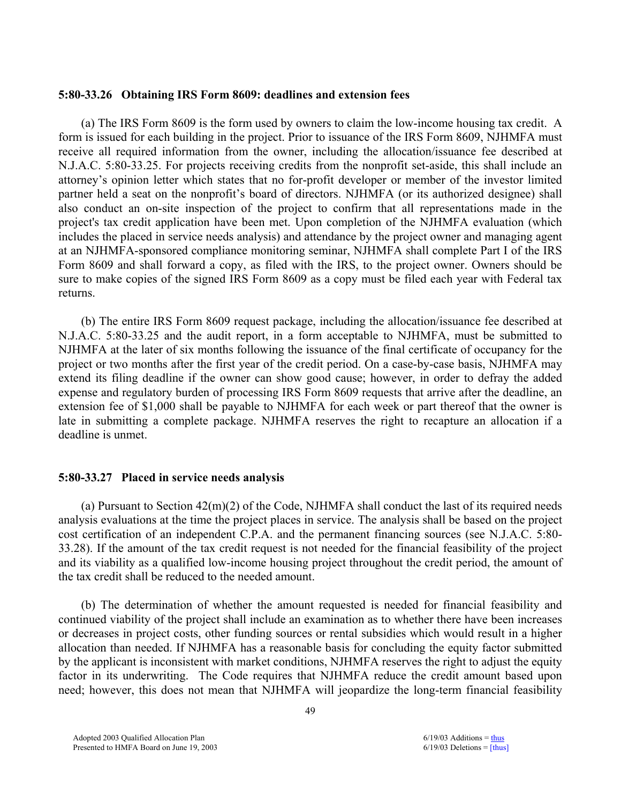#### **5:80-33.26 Obtaining IRS Form 8609: deadlines and extension fees**

 (a) The IRS Form 8609 is the form used by owners to claim the low-income housing tax credit. A form is issued for each building in the project. Prior to issuance of the IRS Form 8609, NJHMFA must receive all required information from the owner, including the allocation/issuance fee described at N.J.A.C. 5:80-33.25. For projects receiving credits from the nonprofit set-aside, this shall include an attorney's opinion letter which states that no for-profit developer or member of the investor limited partner held a seat on the nonprofit's board of directors. NJHMFA (or its authorized designee) shall also conduct an on-site inspection of the project to confirm that all representations made in the project's tax credit application have been met. Upon completion of the NJHMFA evaluation (which includes the placed in service needs analysis) and attendance by the project owner and managing agent at an NJHMFA-sponsored compliance monitoring seminar, NJHMFA shall complete Part I of the IRS Form 8609 and shall forward a copy, as filed with the IRS, to the project owner. Owners should be sure to make copies of the signed IRS Form 8609 as a copy must be filed each year with Federal tax returns.

 (b) The entire IRS Form 8609 request package, including the allocation/issuance fee described at N.J.A.C. 5:80-33.25 and the audit report, in a form acceptable to NJHMFA, must be submitted to NJHMFA at the later of six months following the issuance of the final certificate of occupancy for the project or two months after the first year of the credit period. On a case-by-case basis, NJHMFA may extend its filing deadline if the owner can show good cause; however, in order to defray the added expense and regulatory burden of processing IRS Form 8609 requests that arrive after the deadline, an extension fee of \$1,000 shall be payable to NJHMFA for each week or part thereof that the owner is late in submitting a complete package. NJHMFA reserves the right to recapture an allocation if a deadline is unmet.

### **5:80-33.27 Placed in service needs analysis**

(a) Pursuant to Section  $42(m)(2)$  of the Code, NJHMFA shall conduct the last of its required needs analysis evaluations at the time the project places in service. The analysis shall be based on the project cost certification of an independent C.P.A. and the permanent financing sources (see N.J.A.C. 5:80- 33.28). If the amount of the tax credit request is not needed for the financial feasibility of the project and its viability as a qualified low-income housing project throughout the credit period, the amount of the tax credit shall be reduced to the needed amount.

 (b) The determination of whether the amount requested is needed for financial feasibility and continued viability of the project shall include an examination as to whether there have been increases or decreases in project costs, other funding sources or rental subsidies which would result in a higher allocation than needed. If NJHMFA has a reasonable basis for concluding the equity factor submitted by the applicant is inconsistent with market conditions, NJHMFA reserves the right to adjust the equity factor in its underwriting. The Code requires that NJHMFA reduce the credit amount based upon need; however, this does not mean that NJHMFA will jeopardize the long-term financial feasibility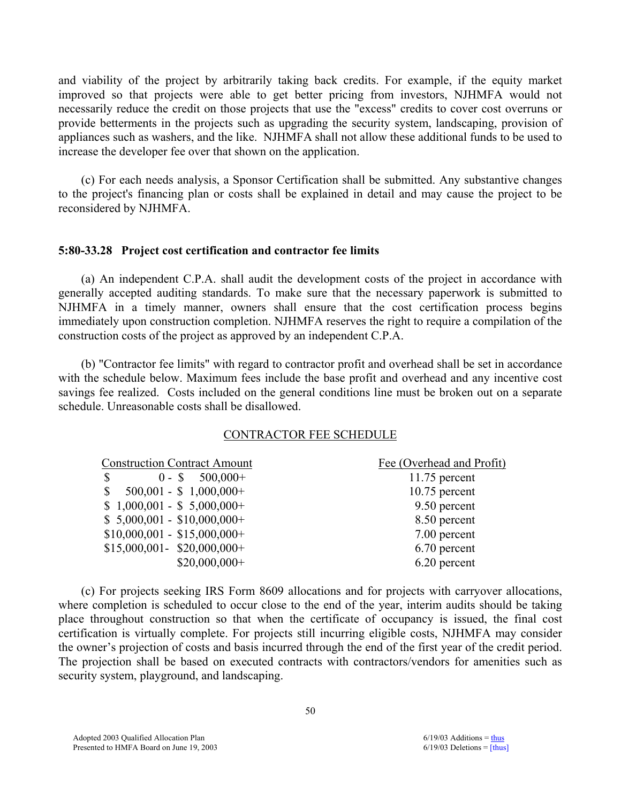and viability of the project by arbitrarily taking back credits. For example, if the equity market improved so that projects were able to get better pricing from investors, NJHMFA would not necessarily reduce the credit on those projects that use the "excess" credits to cover cost overruns or provide betterments in the projects such as upgrading the security system, landscaping, provision of appliances such as washers, and the like. NJHMFA shall not allow these additional funds to be used to increase the developer fee over that shown on the application.

 (c) For each needs analysis, a Sponsor Certification shall be submitted. Any substantive changes to the project's financing plan or costs shall be explained in detail and may cause the project to be reconsidered by NJHMFA.

#### **5:80-33.28 Project cost certification and contractor fee limits**

 (a) An independent C.P.A. shall audit the development costs of the project in accordance with generally accepted auditing standards. To make sure that the necessary paperwork is submitted to NJHMFA in a timely manner, owners shall ensure that the cost certification process begins immediately upon construction completion. NJHMFA reserves the right to require a compilation of the construction costs of the project as approved by an independent C.P.A.

 (b) "Contractor fee limits" with regard to contractor profit and overhead shall be set in accordance with the schedule below. Maximum fees include the base profit and overhead and any incentive cost savings fee realized. Costs included on the general conditions line must be broken out on a separate schedule. Unreasonable costs shall be disallowed.

### CONTRACTOR FEE SCHEDULE

| <b>Construction Contract Amount</b> | Fee (Overhead and Profit) |
|-------------------------------------|---------------------------|
| $0 - $ 500,000+$<br>\$              | $11.75$ percent           |
| $500,001 - $ 1,000,000 +$<br>S      | $10.75$ percent           |
| $$1,000,001 - $5,000,000+$          | 9.50 percent              |
| $$5,000,001 - $10,000,000+$         | 8.50 percent              |
| $$10,000,001 - $15,000,000+$        | 7.00 percent              |
| $$15,000,001 - $20,000,000+$        | 6.70 percent              |
| $$20,000,000+$                      | 6.20 percent              |
|                                     |                           |

 (c) For projects seeking IRS Form 8609 allocations and for projects with carryover allocations, where completion is scheduled to occur close to the end of the year, interim audits should be taking place throughout construction so that when the certificate of occupancy is issued, the final cost certification is virtually complete. For projects still incurring eligible costs, NJHMFA may consider the owner's projection of costs and basis incurred through the end of the first year of the credit period. The projection shall be based on executed contracts with contractors/vendors for amenities such as security system, playground, and landscaping.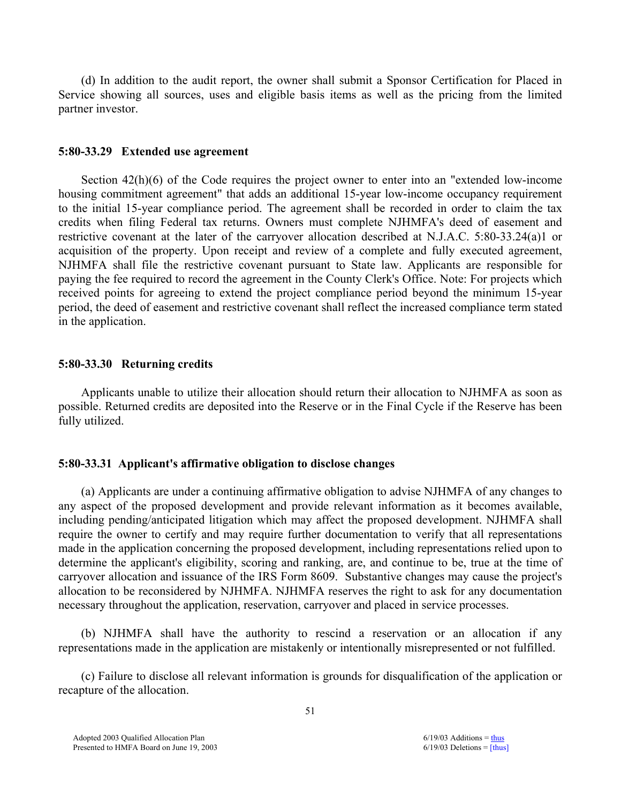(d) In addition to the audit report, the owner shall submit a Sponsor Certification for Placed in Service showing all sources, uses and eligible basis items as well as the pricing from the limited partner investor.

#### **5:80-33.29 Extended use agreement**

 Section 42(h)(6) of the Code requires the project owner to enter into an "extended low-income housing commitment agreement" that adds an additional 15-year low-income occupancy requirement to the initial 15-year compliance period. The agreement shall be recorded in order to claim the tax credits when filing Federal tax returns. Owners must complete NJHMFA's deed of easement and restrictive covenant at the later of the carryover allocation described at N.J.A.C. 5:80-33.24(a)1 or acquisition of the property. Upon receipt and review of a complete and fully executed agreement, NJHMFA shall file the restrictive covenant pursuant to State law. Applicants are responsible for paying the fee required to record the agreement in the County Clerk's Office. Note: For projects which received points for agreeing to extend the project compliance period beyond the minimum 15-year period, the deed of easement and restrictive covenant shall reflect the increased compliance term stated in the application.

#### **5:80-33.30 Returning credits**

 Applicants unable to utilize their allocation should return their allocation to NJHMFA as soon as possible. Returned credits are deposited into the Reserve or in the Final Cycle if the Reserve has been fully utilized.

#### **5:80-33.31 Applicant's affirmative obligation to disclose changes**

 (a) Applicants are under a continuing affirmative obligation to advise NJHMFA of any changes to any aspect of the proposed development and provide relevant information as it becomes available, including pending/anticipated litigation which may affect the proposed development. NJHMFA shall require the owner to certify and may require further documentation to verify that all representations made in the application concerning the proposed development, including representations relied upon to determine the applicant's eligibility, scoring and ranking, are, and continue to be, true at the time of carryover allocation and issuance of the IRS Form 8609. Substantive changes may cause the project's allocation to be reconsidered by NJHMFA. NJHMFA reserves the right to ask for any documentation necessary throughout the application, reservation, carryover and placed in service processes.

 (b) NJHMFA shall have the authority to rescind a reservation or an allocation if any representations made in the application are mistakenly or intentionally misrepresented or not fulfilled.

 (c) Failure to disclose all relevant information is grounds for disqualification of the application or recapture of the allocation.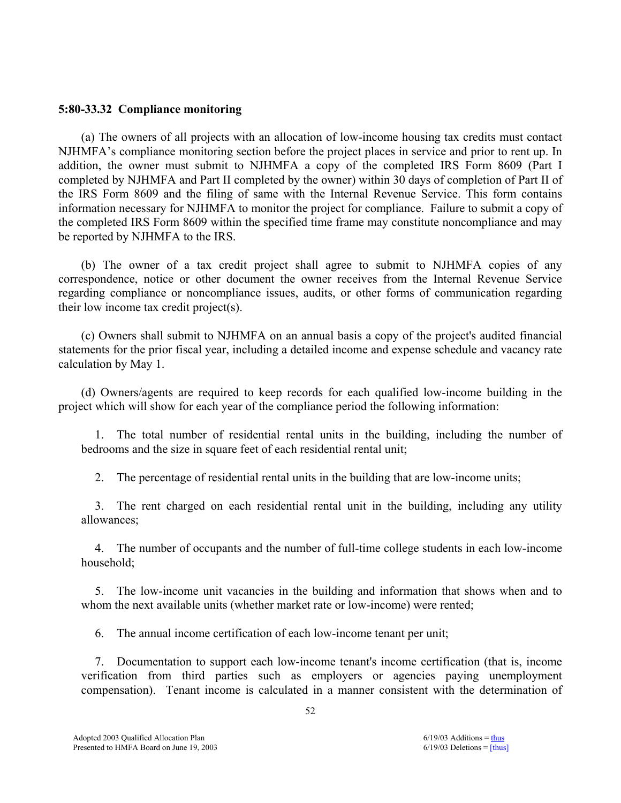#### **5:80-33.32 Compliance monitoring**

 (a) The owners of all projects with an allocation of low-income housing tax credits must contact NJHMFA's compliance monitoring section before the project places in service and prior to rent up. In addition, the owner must submit to NJHMFA a copy of the completed IRS Form 8609 (Part I completed by NJHMFA and Part II completed by the owner) within 30 days of completion of Part II of the IRS Form 8609 and the filing of same with the Internal Revenue Service. This form contains information necessary for NJHMFA to monitor the project for compliance. Failure to submit a copy of the completed IRS Form 8609 within the specified time frame may constitute noncompliance and may be reported by NJHMFA to the IRS.

 (b) The owner of a tax credit project shall agree to submit to NJHMFA copies of any correspondence, notice or other document the owner receives from the Internal Revenue Service regarding compliance or noncompliance issues, audits, or other forms of communication regarding their low income tax credit project(s).

 (c) Owners shall submit to NJHMFA on an annual basis a copy of the project's audited financial statements for the prior fiscal year, including a detailed income and expense schedule and vacancy rate calculation by May 1.

 (d) Owners/agents are required to keep records for each qualified low-income building in the project which will show for each year of the compliance period the following information:

1. The total number of residential rental units in the building, including the number of bedrooms and the size in square feet of each residential rental unit;

2. The percentage of residential rental units in the building that are low-income units;

3. The rent charged on each residential rental unit in the building, including any utility allowances;

4. The number of occupants and the number of full-time college students in each low-income household;

5. The low-income unit vacancies in the building and information that shows when and to whom the next available units (whether market rate or low-income) were rented;

6. The annual income certification of each low-income tenant per unit;

7. Documentation to support each low-income tenant's income certification (that is, income verification from third parties such as employers or agencies paying unemployment compensation). Tenant income is calculated in a manner consistent with the determination of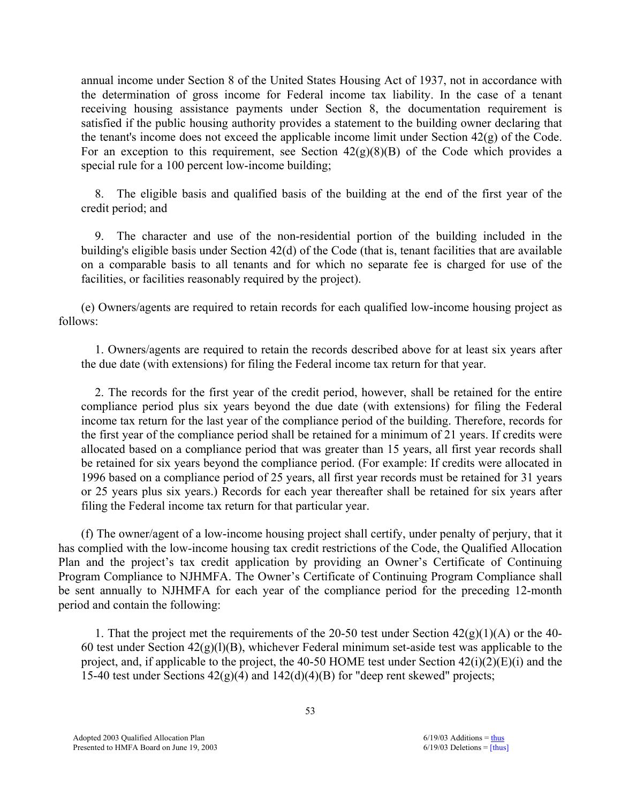annual income under Section 8 of the United States Housing Act of 1937, not in accordance with the determination of gross income for Federal income tax liability. In the case of a tenant receiving housing assistance payments under Section 8, the documentation requirement is satisfied if the public housing authority provides a statement to the building owner declaring that the tenant's income does not exceed the applicable income limit under Section 42(g) of the Code. For an exception to this requirement, see Section  $42(g)(8)(B)$  of the Code which provides a special rule for a 100 percent low-income building;

8. The eligible basis and qualified basis of the building at the end of the first year of the credit period; and

9. The character and use of the non-residential portion of the building included in the building's eligible basis under Section 42(d) of the Code (that is, tenant facilities that are available on a comparable basis to all tenants and for which no separate fee is charged for use of the facilities, or facilities reasonably required by the project).

 (e) Owners/agents are required to retain records for each qualified low-income housing project as follows:

1. Owners/agents are required to retain the records described above for at least six years after the due date (with extensions) for filing the Federal income tax return for that year.

2. The records for the first year of the credit period, however, shall be retained for the entire compliance period plus six years beyond the due date (with extensions) for filing the Federal income tax return for the last year of the compliance period of the building. Therefore, records for the first year of the compliance period shall be retained for a minimum of 21 years. If credits were allocated based on a compliance period that was greater than 15 years, all first year records shall be retained for six years beyond the compliance period. (For example: If credits were allocated in 1996 based on a compliance period of 25 years, all first year records must be retained for 31 years or 25 years plus six years.) Records for each year thereafter shall be retained for six years after filing the Federal income tax return for that particular year.

 (f) The owner/agent of a low-income housing project shall certify, under penalty of perjury, that it has complied with the low-income housing tax credit restrictions of the Code, the Qualified Allocation Plan and the project's tax credit application by providing an Owner's Certificate of Continuing Program Compliance to NJHMFA. The Owner's Certificate of Continuing Program Compliance shall be sent annually to NJHMFA for each year of the compliance period for the preceding 12-month period and contain the following:

1. That the project met the requirements of the 20-50 test under Section  $42(g)(1)(A)$  or the 40-60 test under Section  $42(g)(1)(B)$ , whichever Federal minimum set-aside test was applicable to the project, and, if applicable to the project, the 40-50 HOME test under Section 42(i)(2)(E)(i) and the 15-40 test under Sections  $42(g)(4)$  and  $142(d)(4)(B)$  for "deep rent skewed" projects;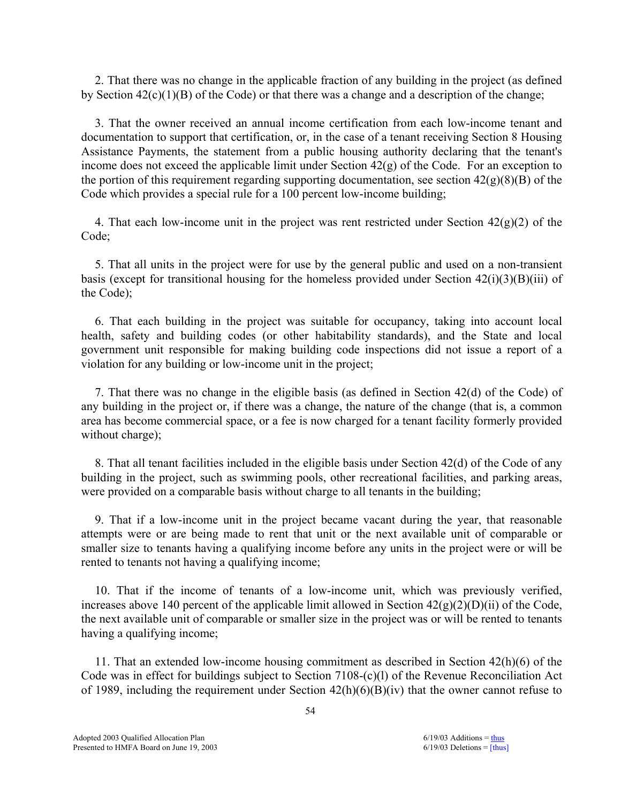2. That there was no change in the applicable fraction of any building in the project (as defined by Section 42(c)(1)(B) of the Code) or that there was a change and a description of the change;

3. That the owner received an annual income certification from each low-income tenant and documentation to support that certification, or, in the case of a tenant receiving Section 8 Housing Assistance Payments, the statement from a public housing authority declaring that the tenant's income does not exceed the applicable limit under Section 42(g) of the Code. For an exception to the portion of this requirement regarding supporting documentation, see section  $42(g)(8)(B)$  of the Code which provides a special rule for a 100 percent low-income building;

4. That each low-income unit in the project was rent restricted under Section  $42(g)(2)$  of the Code;

5. That all units in the project were for use by the general public and used on a non-transient basis (except for transitional housing for the homeless provided under Section  $42(i)(3)(B)(iii)$  of the Code);

6. That each building in the project was suitable for occupancy, taking into account local health, safety and building codes (or other habitability standards), and the State and local government unit responsible for making building code inspections did not issue a report of a violation for any building or low-income unit in the project;

7. That there was no change in the eligible basis (as defined in Section 42(d) of the Code) of any building in the project or, if there was a change, the nature of the change (that is, a common area has become commercial space, or a fee is now charged for a tenant facility formerly provided without charge);

8. That all tenant facilities included in the eligible basis under Section 42(d) of the Code of any building in the project, such as swimming pools, other recreational facilities, and parking areas, were provided on a comparable basis without charge to all tenants in the building;

9. That if a low-income unit in the project became vacant during the year, that reasonable attempts were or are being made to rent that unit or the next available unit of comparable or smaller size to tenants having a qualifying income before any units in the project were or will be rented to tenants not having a qualifying income;

10. That if the income of tenants of a low-income unit, which was previously verified, increases above 140 percent of the applicable limit allowed in Section  $42(g)(2)(D)(ii)$  of the Code, the next available unit of comparable or smaller size in the project was or will be rented to tenants having a qualifying income;

11. That an extended low-income housing commitment as described in Section 42(h)(6) of the Code was in effect for buildings subject to Section 7108-(c)(l) of the Revenue Reconciliation Act of 1989, including the requirement under Section  $42(h)(6)(B)(iv)$  that the owner cannot refuse to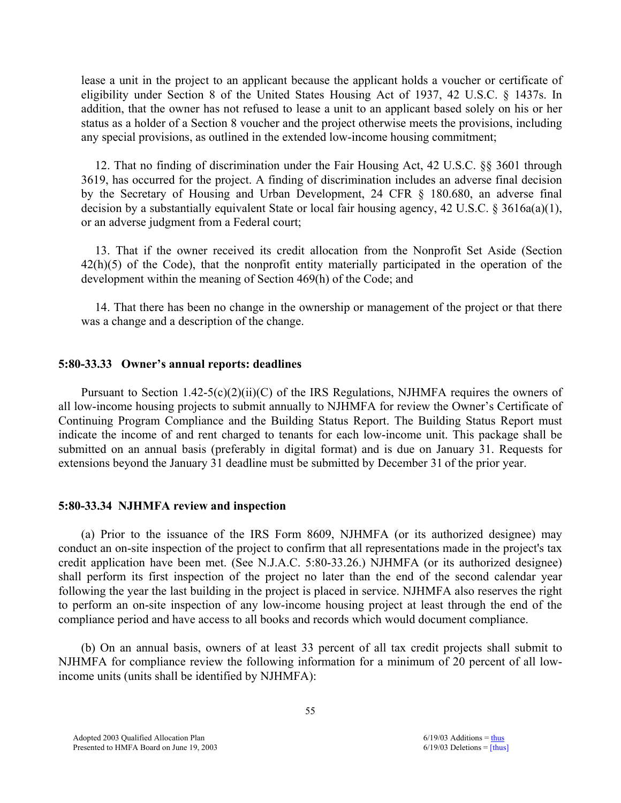lease a unit in the project to an applicant because the applicant holds a voucher or certificate of eligibility under Section 8 of the United States Housing Act of 1937, 42 U.S.C. § 1437s. In addition, that the owner has not refused to lease a unit to an applicant based solely on his or her status as a holder of a Section 8 voucher and the project otherwise meets the provisions, including any special provisions, as outlined in the extended low-income housing commitment;

12. That no finding of discrimination under the Fair Housing Act, 42 U.S.C. §§ 3601 through 3619, has occurred for the project. A finding of discrimination includes an adverse final decision by the Secretary of Housing and Urban Development, 24 CFR § 180.680, an adverse final decision by a substantially equivalent State or local fair housing agency, 42 U.S.C. § 3616a(a)(1), or an adverse judgment from a Federal court;

13. That if the owner received its credit allocation from the Nonprofit Set Aside (Section 42(h)(5) of the Code), that the nonprofit entity materially participated in the operation of the development within the meaning of Section 469(h) of the Code; and

14. That there has been no change in the ownership or management of the project or that there was a change and a description of the change.

#### **5:80-33.33 Owner's annual reports: deadlines**

Pursuant to Section 1.42-5(c)(2)(ii)(C) of the IRS Regulations, NJHMFA requires the owners of all low-income housing projects to submit annually to NJHMFA for review the Owner's Certificate of Continuing Program Compliance and the Building Status Report. The Building Status Report must indicate the income of and rent charged to tenants for each low-income unit. This package shall be submitted on an annual basis (preferably in digital format) and is due on January 31. Requests for extensions beyond the January 31 deadline must be submitted by December 31 of the prior year.

#### **5:80-33.34 NJHMFA review and inspection**

 (a) Prior to the issuance of the IRS Form 8609, NJHMFA (or its authorized designee) may conduct an on-site inspection of the project to confirm that all representations made in the project's tax credit application have been met. (See N.J.A.C. 5:80-33.26.) NJHMFA (or its authorized designee) shall perform its first inspection of the project no later than the end of the second calendar year following the year the last building in the project is placed in service. NJHMFA also reserves the right to perform an on-site inspection of any low-income housing project at least through the end of the compliance period and have access to all books and records which would document compliance.

 (b) On an annual basis, owners of at least 33 percent of all tax credit projects shall submit to NJHMFA for compliance review the following information for a minimum of 20 percent of all lowincome units (units shall be identified by NJHMFA):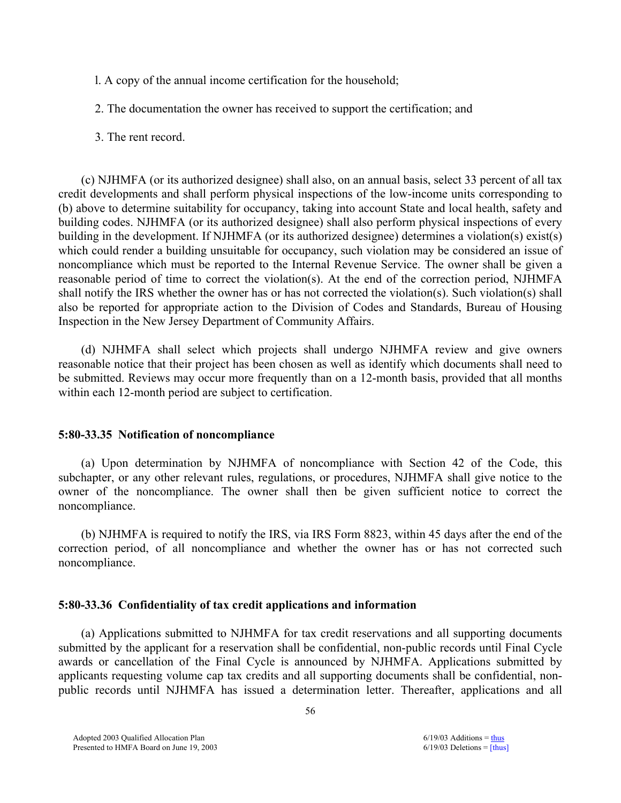- l. A copy of the annual income certification for the household;
- 2. The documentation the owner has received to support the certification; and
- 3. The rent record.

 (c) NJHMFA (or its authorized designee) shall also, on an annual basis, select 33 percent of all tax credit developments and shall perform physical inspections of the low-income units corresponding to (b) above to determine suitability for occupancy, taking into account State and local health, safety and building codes. NJHMFA (or its authorized designee) shall also perform physical inspections of every building in the development. If NJHMFA (or its authorized designee) determines a violation(s) exist(s) which could render a building unsuitable for occupancy, such violation may be considered an issue of noncompliance which must be reported to the Internal Revenue Service. The owner shall be given a reasonable period of time to correct the violation(s). At the end of the correction period, NJHMFA shall notify the IRS whether the owner has or has not corrected the violation(s). Such violation(s) shall also be reported for appropriate action to the Division of Codes and Standards, Bureau of Housing Inspection in the New Jersey Department of Community Affairs.

 (d) NJHMFA shall select which projects shall undergo NJHMFA review and give owners reasonable notice that their project has been chosen as well as identify which documents shall need to be submitted. Reviews may occur more frequently than on a 12-month basis, provided that all months within each 12-month period are subject to certification.

### **5:80-33.35 Notification of noncompliance**

 (a) Upon determination by NJHMFA of noncompliance with Section 42 of the Code, this subchapter, or any other relevant rules, regulations, or procedures, NJHMFA shall give notice to the owner of the noncompliance. The owner shall then be given sufficient notice to correct the noncompliance.

 (b) NJHMFA is required to notify the IRS, via IRS Form 8823, within 45 days after the end of the correction period, of all noncompliance and whether the owner has or has not corrected such noncompliance.

### **5:80-33.36 Confidentiality of tax credit applications and information**

 (a) Applications submitted to NJHMFA for tax credit reservations and all supporting documents submitted by the applicant for a reservation shall be confidential, non-public records until Final Cycle awards or cancellation of the Final Cycle is announced by NJHMFA. Applications submitted by applicants requesting volume cap tax credits and all supporting documents shall be confidential, nonpublic records until NJHMFA has issued a determination letter. Thereafter, applications and all